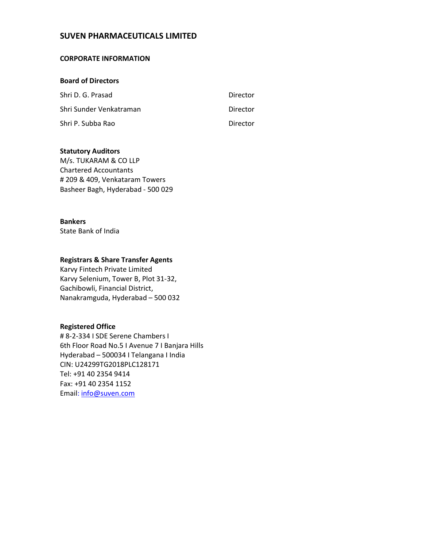# **SUVEN PHARMACEUTICALS LIMITED**

### **CORPORATE INFORMATION**

#### **Board of Directors**

| Shri D. G. Prasad       | Director |
|-------------------------|----------|
| Shri Sunder Venkatraman | Director |
| Shri P. Subba Rao       | Director |

#### **Statutory Auditors**

M/s. TUKARAM & CO LLP Chartered Accountants # 209 & 409, Venkataram Towers Basheer Bagh, Hyderabad - 500 029

## **Bankers**

State Bank of India

## **Registrars & Share Transfer Agents**

Karvy Fintech Private Limited Karvy Selenium, Tower B, Plot 31-32, Gachibowli, Financial District, Nanakramguda, Hyderabad – 500 032

## **Registered Office**

# 8-2-334 I SDE Serene Chambers I 6th Floor Road No.5 I Avenue 7 I Banjara Hills Hyderabad – 500034 I Telangana I India CIN: U24299TG2018PLC128171 Tel: +91 40 2354 9414 Fax: +91 40 2354 1152 Email: info@suven.com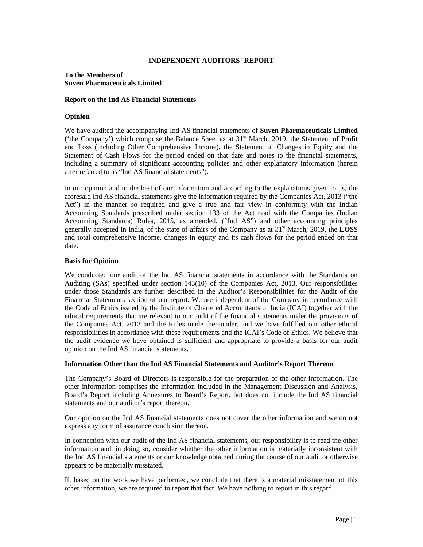#### **INDEPENDENT AUDITORS` REPORT**

#### **To the Members of Suven Pharmaceuticals Limited**

#### **Report on the Ind AS Financial Statements**

#### **Opinion**

We have audited the accompanying Ind AS financial statements of **Suven Pharmaceuticals Limited**  ('the Company') which comprise the Balance Sheet as at  $31<sup>st</sup>$  March, 2019, the Statement of Profit and Loss (including Other Comprehensive Income), the Statement of Changes in Equity and the Statement of Cash Flows for the period ended on that date and notes to the financial statements, including a summary of significant accounting policies and other explanatory information (herein after referred to as "Ind AS financial statements").

In our opinion and to the best of our information and according to the explanations given to us, the aforesaid Ind AS financial statements give the information required by the Companies Act, 2013 ("the Act") in the manner so required and give a true and fair view in conformity with the Indian Accounting Standards prescribed under section 133 of the Act read with the Companies (Indian Accounting Standards) Rules, 2015, as amended, ("Ind AS") and other accounting principles generally accepted in India, of the state of affairs of the Company as at 31st March, 2019, the **LOSS** and total comprehensive income, changes in equity and its cash flows for the period ended on that date.

#### **Basis for Opinion**

We conducted our audit of the Ind AS financial statements in accordance with the Standards on Auditing (SAs) specified under section 143(10) of the Companies Act, 2013. Our responsibilities under those Standards are further described in the Auditor's Responsibilities for the Audit of the Financial Statements section of our report. We are independent of the Company in accordance with the Code of Ethics issued by the Institute of Chartered Accountants of India (ICAI) together with the ethical requirements that are relevant to our audit of the financial statements under the provisions of the Companies Act, 2013 and the Rules made thereunder, and we have fulfilled our other ethical responsibilities in accordance with these requirements and the ICAI's Code of Ethics. We believe that the audit evidence we have obtained is sufficient and appropriate to provide a basis for our audit opinion on the Ind AS financial statements.

#### **Information Other than the Ind AS Financial Statements and Auditor's Report Thereon**

The Company's Board of Directors is responsible for the preparation of the other information. The other information comprises the information included in the Management Discussion and Analysis, Board's Report including Annexures to Board's Report, but does not include the Ind AS financial statements and our auditor's report thereon.

Our opinion on the Ind AS financial statements does not cover the other information and we do not express any form of assurance conclusion thereon.

In connection with our audit of the Ind AS financial statements, our responsibility is to read the other information and, in doing so, consider whether the other information is materially inconsistent with the Ind AS financial statements or our knowledge obtained during the course of our audit or otherwise appears to be materially misstated.

If, based on the work we have performed, we conclude that there is a material misstatement of this other information, we are required to report that fact. We have nothing to report in this regard.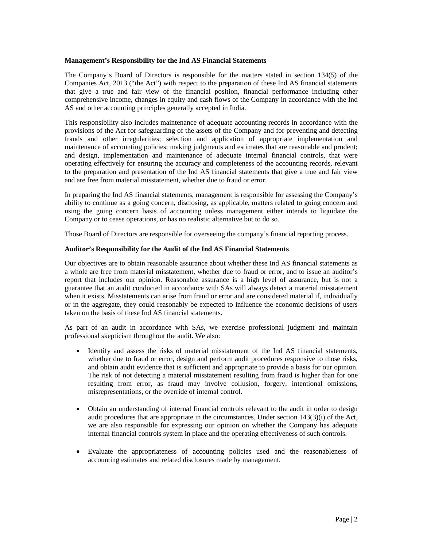#### **Management's Responsibility for the Ind AS Financial Statements**

The Company's Board of Directors is responsible for the matters stated in section 134(5) of the Companies Act, 2013 ("the Act") with respect to the preparation of these Ind AS financial statements that give a true and fair view of the financial position, financial performance including other comprehensive income, changes in equity and cash flows of the Company in accordance with the Ind AS and other accounting principles generally accepted in India.

This responsibility also includes maintenance of adequate accounting records in accordance with the provisions of the Act for safeguarding of the assets of the Company and for preventing and detecting frauds and other irregularities; selection and application of appropriate implementation and maintenance of accounting policies; making judgments and estimates that are reasonable and prudent; and design, implementation and maintenance of adequate internal financial controls, that were operating effectively for ensuring the accuracy and completeness of the accounting records, relevant to the preparation and presentation of the Ind AS financial statements that give a true and fair view and are free from material misstatement, whether due to fraud or error.

In preparing the Ind AS financial statements, management is responsible for assessing the Company's ability to continue as a going concern, disclosing, as applicable, matters related to going concern and using the going concern basis of accounting unless management either intends to liquidate the Company or to cease operations, or has no realistic alternative but to do so.

Those Board of Directors are responsible for overseeing the company's financial reporting process.

#### **Auditor's Responsibility for the Audit of the Ind AS Financial Statements**

Our objectives are to obtain reasonable assurance about whether these Ind AS financial statements as a whole are free from material misstatement, whether due to fraud or error, and to issue an auditor's report that includes our opinion. Reasonable assurance is a high level of assurance, but is not a guarantee that an audit conducted in accordance with SAs will always detect a material misstatement when it exists. Misstatements can arise from fraud or error and are considered material if, individually or in the aggregate, they could reasonably be expected to influence the economic decisions of users taken on the basis of these Ind AS financial statements.

As part of an audit in accordance with SAs, we exercise professional judgment and maintain professional skepticism throughout the audit. We also:

- Identify and assess the risks of material misstatement of the Ind AS financial statements, whether due to fraud or error, design and perform audit procedures responsive to those risks, and obtain audit evidence that is sufficient and appropriate to provide a basis for our opinion. The risk of not detecting a material misstatement resulting from fraud is higher than for one resulting from error, as fraud may involve collusion, forgery, intentional omissions, misrepresentations, or the override of internal control.
- Obtain an understanding of internal financial controls relevant to the audit in order to design audit procedures that are appropriate in the circumstances. Under section 143(3)(i) of the Act, we are also responsible for expressing our opinion on whether the Company has adequate internal financial controls system in place and the operating effectiveness of such controls.
- Evaluate the appropriateness of accounting policies used and the reasonableness of accounting estimates and related disclosures made by management.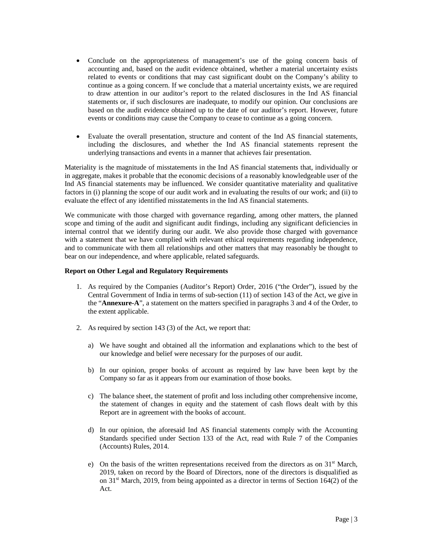- Conclude on the appropriateness of management's use of the going concern basis of accounting and, based on the audit evidence obtained, whether a material uncertainty exists related to events or conditions that may cast significant doubt on the Company's ability to continue as a going concern. If we conclude that a material uncertainty exists, we are required to draw attention in our auditor's report to the related disclosures in the Ind AS financial statements or, if such disclosures are inadequate, to modify our opinion. Our conclusions are based on the audit evidence obtained up to the date of our auditor's report. However, future events or conditions may cause the Company to cease to continue as a going concern.
- Evaluate the overall presentation, structure and content of the Ind AS financial statements, including the disclosures, and whether the Ind AS financial statements represent the underlying transactions and events in a manner that achieves fair presentation.

Materiality is the magnitude of misstatements in the Ind AS financial statements that, individually or in aggregate, makes it probable that the economic decisions of a reasonably knowledgeable user of the Ind AS financial statements may be influenced. We consider quantitative materiality and qualitative factors in (i) planning the scope of our audit work and in evaluating the results of our work; and (ii) to evaluate the effect of any identified misstatements in the Ind AS financial statements.

We communicate with those charged with governance regarding, among other matters, the planned scope and timing of the audit and significant audit findings, including any significant deficiencies in internal control that we identify during our audit. We also provide those charged with governance with a statement that we have complied with relevant ethical requirements regarding independence, and to communicate with them all relationships and other matters that may reasonably be thought to bear on our independence, and where applicable, related safeguards.

#### **Report on Other Legal and Regulatory Requirements**

- 1. As required by the Companies (Auditor's Report) Order, 2016 ("the Order"), issued by the Central Government of India in terms of sub-section (11) of section 143 of the Act, we give in the "**Annexure-A**", a statement on the matters specified in paragraphs 3 and 4 of the Order, to the extent applicable.
- 2. As required by section 143 (3) of the Act, we report that:
	- a) We have sought and obtained all the information and explanations which to the best of our knowledge and belief were necessary for the purposes of our audit.
	- b) In our opinion, proper books of account as required by law have been kept by the Company so far as it appears from our examination of those books.
	- c) The balance sheet, the statement of profit and loss including other comprehensive income, the statement of changes in equity and the statement of cash flows dealt with by this Report are in agreement with the books of account.
	- d) In our opinion, the aforesaid Ind AS financial statements comply with the Accounting Standards specified under Section 133 of the Act, read with Rule 7 of the Companies (Accounts) Rules, 2014.
	- e) On the basis of the written representations received from the directors as on  $31<sup>st</sup>$  March, 2019, taken on record by the Board of Directors, none of the directors is disqualified as on  $31<sup>st</sup>$  March, 2019, from being appointed as a director in terms of Section 164(2) of the Act.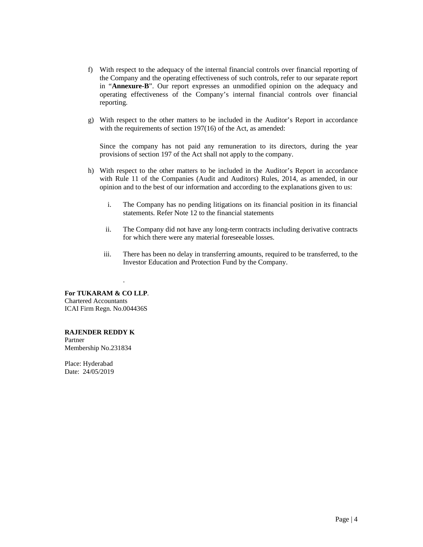- f) With respect to the adequacy of the internal financial controls over financial reporting of the Company and the operating effectiveness of such controls, refer to our separate report in "**Annexure-B**". Our report expresses an unmodified opinion on the adequacy and operating effectiveness of the Company's internal financial controls over financial reporting.
- g) With respect to the other matters to be included in the Auditor's Report in accordance with the requirements of section 197(16) of the Act, as amended:

Since the company has not paid any remuneration to its directors, during the year provisions of section 197 of the Act shall not apply to the company.

- h) With respect to the other matters to be included in the Auditor's Report in accordance with Rule 11 of the Companies (Audit and Auditors) Rules, 2014, as amended, in our opinion and to the best of our information and according to the explanations given to us:
	- i. The Company has no pending litigations on its financial position in its financial statements. Refer Note 12 to the financial statements
	- ii. The Company did not have any long-term contracts including derivative contracts for which there were any material foreseeable losses.
	- iii. There has been no delay in transferring amounts, required to be transferred, to the Investor Education and Protection Fund by the Company.

**For TUKARAM & CO LLP**. Chartered Accountants ICAI Firm Regn. No.004436S

.

**RAJENDER REDDY K**  Partner Membership No.231834

Place: Hyderabad Date: 24/05/2019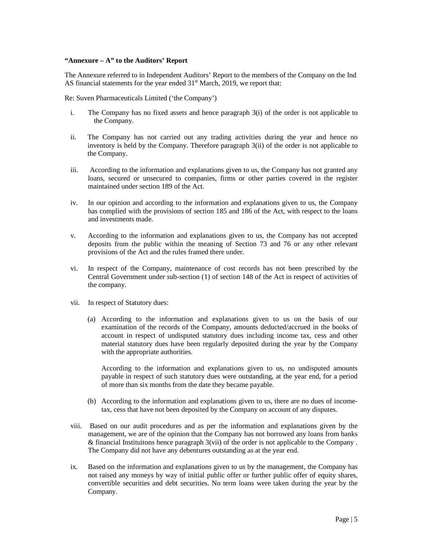#### **"Annexure – A" to the Auditors' Report**

The Annexure referred to in Independent Auditors' Report to the members of the Company on the Ind AS financial statements for the year ended  $31<sup>st</sup>$  March, 2019, we report that:

Re: Suven Pharmaceuticals Limited ('the Company')

- i. The Company has no fixed assets and hence paragraph 3(i) of the order is not applicable to the Company.
- ii. The Company has not carried out any trading activities during the year and hence no inventory is held by the Company. Therefore paragraph 3(ii) of the order is not applicable to the Company.
- iii. According to the information and explanations given to us, the Company has not granted any loans, secured or unsecured to companies, firms or other parties covered in the register maintained under section 189 of the Act.
- iv. In our opinion and according to the information and explanations given to us, the Company has complied with the provisions of section 185 and 186 of the Act, with respect to the loans and investments made.
- v. According to the information and explanations given to us, the Company has not accepted deposits from the public within the meaning of Section 73 and 76 or any other relevant provisions of the Act and the rules framed there under.
- vi. In respect of the Company, maintenance of cost records has not been prescribed by the Central Government under sub-section (1) of section 148 of the Act in respect of activities of the company.
- vii. In respect of Statutory dues:
	- (a) According to the information and explanations given to us on the basis of our examination of the records of the Company, amounts deducted/accrued in the books of account in respect of undisputed statutory dues including income tax, cess and other material statutory dues have been regularly deposited during the year by the Company with the appropriate authorities.

According to the information and explanations given to us, no undisputed amounts payable in respect of such statutory dues were outstanding, at the year end, for a period of more than six months from the date they became payable.

- (b) According to the information and explanations given to us, there are no dues of incometax, cess that have not been deposited by the Company on account of any disputes.
- viii. Based on our audit procedures and as per the information and explanations given by the management, we are of the opinion that the Company has not borrowed any loans from banks & financial Instituitons hence paragraph  $3(vii)$  of the order is not applicable to the Company. The Company did not have any debentures outstanding as at the year end.
- ix. Based on the information and explanations given to us by the management, the Company has not raised any moneys by way of initial public offer or further public offer of equity shares, convertible securities and debt securities. No term loans were taken during the year by the Company.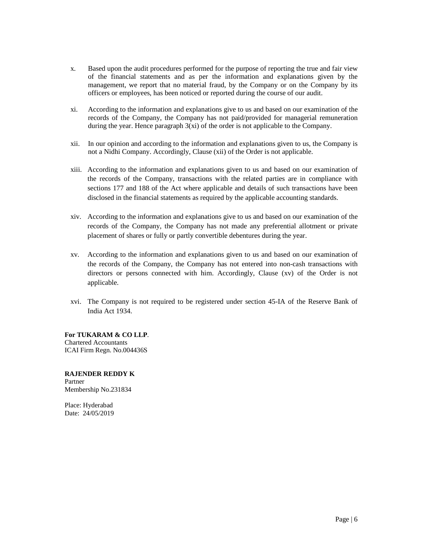- x. Based upon the audit procedures performed for the purpose of reporting the true and fair view of the financial statements and as per the information and explanations given by the management, we report that no material fraud, by the Company or on the Company by its officers or employees, has been noticed or reported during the course of our audit.
- xi. According to the information and explanations give to us and based on our examination of the records of the Company, the Company has not paid/provided for managerial remuneration during the year. Hence paragraph  $3(xi)$  of the order is not applicable to the Company.
- xii. In our opinion and according to the information and explanations given to us, the Company is not a Nidhi Company. Accordingly, Clause (xii) of the Order is not applicable.
- xiii. According to the information and explanations given to us and based on our examination of the records of the Company, transactions with the related parties are in compliance with sections 177 and 188 of the Act where applicable and details of such transactions have been disclosed in the financial statements as required by the applicable accounting standards.
- xiv. According to the information and explanations give to us and based on our examination of the records of the Company, the Company has not made any preferential allotment or private placement of shares or fully or partly convertible debentures during the year.
- xv. According to the information and explanations given to us and based on our examination of the records of the Company, the Company has not entered into non-cash transactions with directors or persons connected with him. Accordingly, Clause (xv) of the Order is not applicable.
- xvi. The Company is not required to be registered under section 45-IA of the Reserve Bank of India Act 1934.

**For TUKARAM & CO LLP**. Chartered Accountants ICAI Firm Regn. No.004436S

**RAJENDER REDDY K**  Partner Membership No.231834

Place: Hyderabad Date: 24/05/2019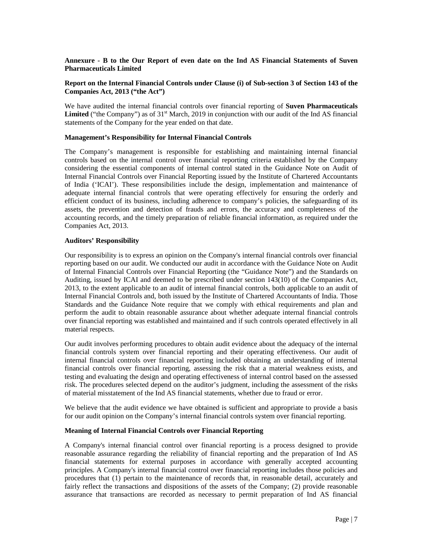#### **Annexure - B to the Our Report of even date on the Ind AS Financial Statements of Suven Pharmaceuticals Limited**

#### **Report on the Internal Financial Controls under Clause (i) of Sub-section 3 of Section 143 of the Companies Act, 2013 ("the Act")**

We have audited the internal financial controls over financial reporting of **Suven Pharmaceuticals**  Limited ("the Company") as of 31<sup>st</sup> March, 2019 in conjunction with our audit of the Ind AS financial statements of the Company for the year ended on that date.

#### **Management's Responsibility for Internal Financial Controls**

The Company's management is responsible for establishing and maintaining internal financial controls based on the internal control over financial reporting criteria established by the Company considering the essential components of internal control stated in the Guidance Note on Audit of Internal Financial Controls over Financial Reporting issued by the Institute of Chartered Accountants of India ('ICAI'). These responsibilities include the design, implementation and maintenance of adequate internal financial controls that were operating effectively for ensuring the orderly and efficient conduct of its business, including adherence to company's policies, the safeguarding of its assets, the prevention and detection of frauds and errors, the accuracy and completeness of the accounting records, and the timely preparation of reliable financial information, as required under the Companies Act, 2013.

#### **Auditors' Responsibility**

Our responsibility is to express an opinion on the Company's internal financial controls over financial reporting based on our audit. We conducted our audit in accordance with the Guidance Note on Audit of Internal Financial Controls over Financial Reporting (the "Guidance Note") and the Standards on Auditing, issued by ICAI and deemed to be prescribed under section 143(10) of the Companies Act, 2013, to the extent applicable to an audit of internal financial controls, both applicable to an audit of Internal Financial Controls and, both issued by the Institute of Chartered Accountants of India. Those Standards and the Guidance Note require that we comply with ethical requirements and plan and perform the audit to obtain reasonable assurance about whether adequate internal financial controls over financial reporting was established and maintained and if such controls operated effectively in all material respects.

Our audit involves performing procedures to obtain audit evidence about the adequacy of the internal financial controls system over financial reporting and their operating effectiveness. Our audit of internal financial controls over financial reporting included obtaining an understanding of internal financial controls over financial reporting, assessing the risk that a material weakness exists, and testing and evaluating the design and operating effectiveness of internal control based on the assessed risk. The procedures selected depend on the auditor's judgment, including the assessment of the risks of material misstatement of the Ind AS financial statements, whether due to fraud or error.

We believe that the audit evidence we have obtained is sufficient and appropriate to provide a basis for our audit opinion on the Company's internal financial controls system over financial reporting.

#### **Meaning of Internal Financial Controls over Financial Reporting**

A Company's internal financial control over financial reporting is a process designed to provide reasonable assurance regarding the reliability of financial reporting and the preparation of Ind AS financial statements for external purposes in accordance with generally accepted accounting principles. A Company's internal financial control over financial reporting includes those policies and procedures that (1) pertain to the maintenance of records that, in reasonable detail, accurately and fairly reflect the transactions and dispositions of the assets of the Company; (2) provide reasonable assurance that transactions are recorded as necessary to permit preparation of Ind AS financial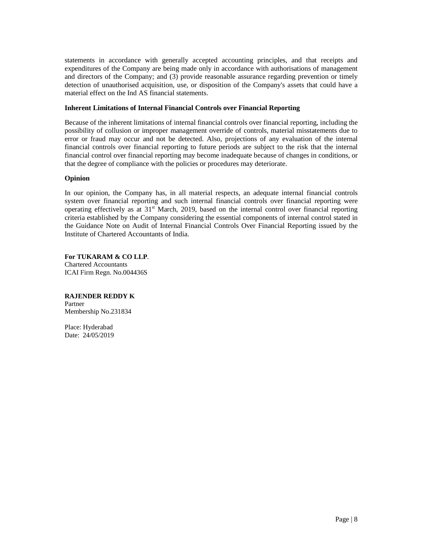statements in accordance with generally accepted accounting principles, and that receipts and expenditures of the Company are being made only in accordance with authorisations of management and directors of the Company; and (3) provide reasonable assurance regarding prevention or timely detection of unauthorised acquisition, use, or disposition of the Company's assets that could have a material effect on the Ind AS financial statements.

#### **Inherent Limitations of Internal Financial Controls over Financial Reporting**

Because of the inherent limitations of internal financial controls over financial reporting, including the possibility of collusion or improper management override of controls, material misstatements due to error or fraud may occur and not be detected. Also, projections of any evaluation of the internal financial controls over financial reporting to future periods are subject to the risk that the internal financial control over financial reporting may become inadequate because of changes in conditions, or that the degree of compliance with the policies or procedures may deteriorate.

#### **Opinion**

In our opinion, the Company has, in all material respects, an adequate internal financial controls system over financial reporting and such internal financial controls over financial reporting were operating effectively as at 31st March, 2019, based on the internal control over financial reporting criteria established by the Company considering the essential components of internal control stated in the Guidance Note on Audit of Internal Financial Controls Over Financial Reporting issued by the Institute of Chartered Accountants of India.

**For TUKARAM & CO LLP**. Chartered Accountants ICAI Firm Regn. No.004436S

## **RAJENDER REDDY K**

Partner Membership No.231834

Place: Hyderabad Date: 24/05/2019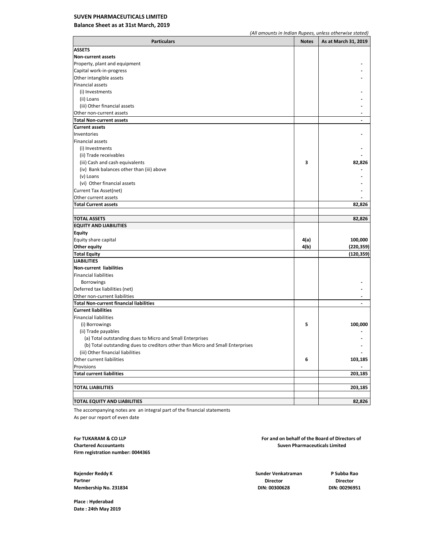#### **SUVEN PHARMACEUTICALS LIMITED**

#### **Balance Sheet as at 31st March, 2019**

| <b>Particulars</b>                                                             | <b>Notes</b> | As at March 31, 2019     |
|--------------------------------------------------------------------------------|--------------|--------------------------|
| <b>ASSETS</b>                                                                  |              |                          |
| Non-current assets                                                             |              |                          |
| Property, plant and equipment                                                  |              |                          |
| Capital work-in-progress                                                       |              |                          |
| Other intangible assets                                                        |              |                          |
| <b>Financial assets</b>                                                        |              |                          |
| (i) Investments                                                                |              |                          |
| (ii) Loans                                                                     |              |                          |
| (iii) Other financial assets                                                   |              |                          |
| Other non-current assets                                                       |              |                          |
| <b>Total Non-current assets</b>                                                |              | $\overline{\phantom{a}}$ |
| <b>Current assets</b>                                                          |              |                          |
| Inventories                                                                    |              |                          |
| <b>Financial assets</b>                                                        |              |                          |
| (i) Investments                                                                |              |                          |
| (ii) Trade receivables                                                         |              |                          |
| (iii) Cash and cash equivalents                                                | 3            | 82,826                   |
| (iv) Bank balances other than (iii) above                                      |              |                          |
| (v) Loans                                                                      |              |                          |
| (vi) Other financial assets                                                    |              |                          |
| Current Tax Asset(net)                                                         |              |                          |
| Other current assets                                                           |              |                          |
| <b>Total Current assets</b>                                                    |              | 82,826                   |
|                                                                                |              |                          |
| <b>TOTAL ASSETS</b>                                                            |              | 82,826                   |
| <b>EQUITY AND LIABILITIES</b>                                                  |              |                          |
| <b>Equity</b>                                                                  |              |                          |
| Equity share capital                                                           | 4(a)         | 100,000                  |
| <b>Other equity</b>                                                            | 4(b)         | (220,359)                |
| <b>Total Equity</b>                                                            |              | (120,359)                |
| <b>LIABILITIES</b>                                                             |              |                          |
| Non-current liabilities                                                        |              |                          |
| <b>Financial liabilities</b>                                                   |              |                          |
| <b>Borrowings</b>                                                              |              |                          |
| Deferred tax liabilities (net)                                                 |              |                          |
| Other non-current liabilities                                                  |              |                          |
| <b>Total Non-current financial liabilities</b>                                 |              |                          |
| <b>Current liabilities</b>                                                     |              |                          |
| Financial liabilities                                                          |              |                          |
| (i) Borrowings                                                                 | 5            | 100,000                  |
| (ii) Trade payables                                                            |              |                          |
| (a) Total outstanding dues to Micro and Small Enterprises                      |              |                          |
| (b) Total outstanding dues to creditors other than Micro and Small Enterprises |              |                          |
| (iii) Other financial liabilities                                              |              |                          |
| Other current liabilities                                                      | 6            | 103,185                  |
| Provisions                                                                     |              |                          |
| <b>Total current liabilities</b>                                               |              | 203,185                  |
|                                                                                |              |                          |
| <b>TOTAL LIABILITIES</b>                                                       |              | 203,185                  |
|                                                                                |              |                          |
| <b>TOTAL EQUITY AND LIABILITIES</b>                                            |              | 82,826                   |

The accompanying notes are an integral part of the financial statements As per our report of even date

**Firm registration number: 004436S**

**Rajender Reddy K Sunder Venkatraman P Subba Rao Partner Director Director Membership No. 231834 DIN: 00300628 DIN: 00296951**

**For TUKARAM & CO LLP For and on behalf of the Board of Directors of Chartered Accountants Suven Pharmaceuticals Limited**

**Place : Hyderabad Date : 24th May 2019**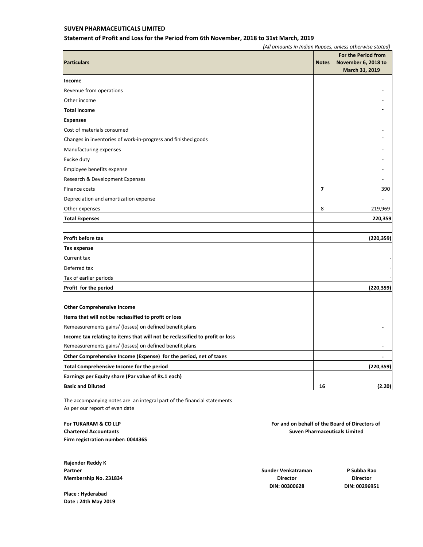#### **SUVEN PHARMACEUTICALS LIMITED**

#### **Statement of Profit and Loss for the Period from 6th November, 2018 to 31st March, 2019**

*(All amounts in Indian Rupees, unless otherwise stated)*

| <b>Particulars</b>                                                           | <b>Notes</b> | For the Period from<br>November 6, 2018 to<br>March 31, 2019 |
|------------------------------------------------------------------------------|--------------|--------------------------------------------------------------|
| Income                                                                       |              |                                                              |
| Revenue from operations                                                      |              |                                                              |
| Other income                                                                 |              |                                                              |
| <b>Total Income</b>                                                          |              |                                                              |
| <b>Expenses</b>                                                              |              |                                                              |
| Cost of materials consumed                                                   |              |                                                              |
| Changes in inventories of work-in-progress and finished goods                |              |                                                              |
| Manufacturing expenses                                                       |              |                                                              |
| Excise duty                                                                  |              |                                                              |
| Employee benefits expense                                                    |              |                                                              |
| Research & Development Expenses                                              |              |                                                              |
| Finance costs                                                                | 7            | 390                                                          |
| Depreciation and amortization expense                                        |              |                                                              |
| Other expenses                                                               | 8            | 219,969                                                      |
| <b>Total Expenses</b>                                                        |              | 220,359                                                      |
|                                                                              |              |                                                              |
| <b>Profit before tax</b>                                                     |              | (220,359)                                                    |
| Tax expense                                                                  |              |                                                              |
| Current tax                                                                  |              |                                                              |
| Deferred tax                                                                 |              |                                                              |
| Tax of earlier periods                                                       |              |                                                              |
| Profit for the period                                                        |              | (220, 359)                                                   |
|                                                                              |              |                                                              |
| <b>Other Comprehensive Income</b>                                            |              |                                                              |
| Items that will not be reclassified to profit or loss                        |              |                                                              |
| Remeasurements gains/ (losses) on defined benefit plans                      |              |                                                              |
| Income tax relating to items that will not be reclassified to profit or loss |              |                                                              |
| Remeasurements gains/ (losses) on defined benefit plans                      |              |                                                              |
| Other Comprehensive Income (Expense) for the period, net of taxes            |              |                                                              |
| Total Comprehensive Income for the period                                    |              | (220, 359)                                                   |
| Earnings per Equity share (Par value of Rs.1 each)                           |              |                                                              |
| <b>Basic and Diluted</b>                                                     | 16           | (2.20)                                                       |

The accompanying notes are an integral part of the financial statements As per our report of even date

**Firm registration number: 004436S**

**Rajender Reddy K Partner Sunder Venkatraman P Subba Rao Membership No. 231834 Director Director**

**Place : Hyderabad Date : 24th May 2019**

**For TUKARAM & CO LLP For and on behalf of the Board of Directors of Chartered Accountants Suven Pharmaceuticals Limited**

**DIN: 00300628 DIN: 00296951**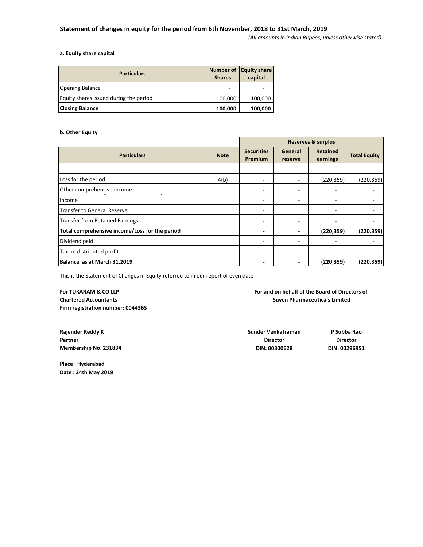*(All amounts in Indian Rupees, unless otherwise stated)*

#### **a. Equity share capital**

| <b>Particulars</b>                     | <b>Shares</b> | Number of Equity share<br>capital |
|----------------------------------------|---------------|-----------------------------------|
| <b>Opening Balance</b>                 | ۰             |                                   |
| Equity shares issued during the period | 100,000       | 100,000                           |
| <b>Closing Balance</b>                 | 100,000       | 100,000                           |

#### **b. Other Equity**

|                                                |             | <b>Reserves &amp; surplus</b> |                          |                             |                     |
|------------------------------------------------|-------------|-------------------------------|--------------------------|-----------------------------|---------------------|
| <b>Particulars</b>                             | <b>Note</b> | <b>Securities</b><br>Premium  | General<br>reserve       | <b>Retained</b><br>earnings | <b>Total Equity</b> |
|                                                |             |                               |                          |                             |                     |
| Loss for the period                            | 4(b)        |                               | ٠                        | (220, 359)                  | (220, 359)          |
| Other comprehensive income                     |             | -                             | ٠                        | ٠                           |                     |
| income                                         |             | ٠                             | ٠                        | $\overline{\phantom{a}}$    |                     |
| <b>Transfer to General Reserve</b>             |             | ٠                             |                          | ۰                           |                     |
| <b>Transfer from Retained Earnings</b>         |             | ٠                             | ۰                        | ٠                           |                     |
| Total comprehensive income/Loss for the period |             |                               | ٠                        | (220, 359)                  | (220, 359)          |
| Dividend paid                                  |             | $\overline{\phantom{a}}$      | ٠                        |                             |                     |
| Tax on distributed profit                      |             | ٠                             | ۰                        | ۰                           |                     |
| Balance as at March 31,2019                    |             |                               | $\overline{\phantom{0}}$ | (220, 359)                  | (220, 359)          |

This is the Statement of Changes in Equity referred to in our report of even date

**Firm registration number: 004436S**

**For TUKARAM & CO LLP For and on behalf of the Board of Directors of Chartered Accountants Suven Pharmaceuticals Limited**

**Rajender Reddy K Sunder Venkatraman P Subba Rao**

**Place : Hyderabad Date : 24th May 2019**

**Partner Director Director Membership No. 231834 DIN: 00300628 DIN: 00296951**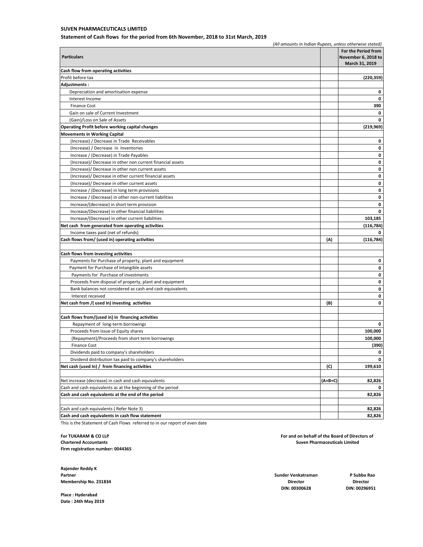#### **SUVEN PHARMACEUTICALS LIMITED**

**Statement of Cash flows for the period from 6th November, 2018 to 31st March, 2019**

|                                                             | (All amounts in Indian Rupees, unless otherwise stated) |                     |
|-------------------------------------------------------------|---------------------------------------------------------|---------------------|
|                                                             |                                                         | For the Period from |
| <b>Particulars</b>                                          |                                                         | November 6, 2018 to |
|                                                             |                                                         | March 31, 2019      |
| Cash flow from operating activities                         |                                                         |                     |
| Profit before tax                                           |                                                         | (220, 359)          |
| Adjustments:                                                |                                                         |                     |
| Depreciation and amortisation expense                       |                                                         | 0                   |
| Interest Income                                             |                                                         | 0                   |
| <b>Finance Cost</b>                                         |                                                         | 390                 |
| Gain on sale of Current Investment                          |                                                         | 0                   |
| (Gain)/Loss on Sale of Assets                               |                                                         | 0                   |
| <b>Operating Profit before working capital changes</b>      |                                                         | (219, 969)          |
| <b>Movements in Working Capital</b>                         |                                                         |                     |
| (Increase) / Decrease in Trade Receivables                  |                                                         | 0                   |
| (Increase) / Decrease in Inventories                        |                                                         | 0                   |
| Increase / (Decrease) in Trade Payables                     |                                                         | 0                   |
| (Increase)/ Decrease in other non current financial assets  |                                                         | 0                   |
| (Increase)/ Decrease in other non current assets            |                                                         | 0                   |
| (Increase)/ Decrease in other current financial assets      |                                                         | 0                   |
| (Increase)/ Decrease in other current assets                |                                                         | 0                   |
|                                                             |                                                         |                     |
| Increase / (Decrease) in long term provisions               |                                                         | 0                   |
| Increase / (Decrease) in other non-current liabilities      |                                                         | 0                   |
| Increase/(decrease) in short term provision                 |                                                         | 0                   |
| Increase/(Decrease) in other financial liabilities          |                                                         | 0                   |
| Increase/(Decrease) in other current liabilities            |                                                         | 103,185             |
| Net cash from generated from operating activities           |                                                         | (116, 784)          |
| Income taxes paid (net of refunds)                          |                                                         | 0                   |
| Cash flows from/ (used in) operating activities             | (A)                                                     | (116, 784)          |
|                                                             |                                                         |                     |
| Cash flows from investing activities                        |                                                         |                     |
| Payments for Purchase of property, plant and equipment      |                                                         | 0                   |
| Payment for Purchase of Intangible assets                   |                                                         | 0                   |
| Payments for Purchase of investments                        |                                                         | 0                   |
| Proceeds from disposal of property, plant and equipment     |                                                         | 0                   |
| Bank balances not considered as cash and cash equivalents   |                                                         | 0                   |
| Interest received                                           |                                                         | 0                   |
| Net cash from /(used in) investing activities               | (B)                                                     | 0                   |
|                                                             |                                                         |                     |
| Cash flows from/(used in) in financing activities           |                                                         |                     |
| Repayment of long-term borrowings                           |                                                         | 0                   |
| Proceeds from Issue of Equity shares                        |                                                         | 100,000             |
| (Repayment)/Proceeds from short term borrowings             |                                                         | 100,000             |
| <b>Finance Cost</b>                                         |                                                         | (390)               |
| Dividends paid to company's shareholders                    |                                                         | 0                   |
| Dividend distribution tax paid to company's shareholders    |                                                         | 0                   |
| Net cash (used In) / from financing activities              | (C)                                                     | 199,610             |
|                                                             |                                                         |                     |
| Net increase (decrease) in cash and cash equivalents        | (A+B+C)                                                 | 82,826              |
| Cash and cash equivalents as at the beginning of the period |                                                         |                     |
| Cash and cash equivalents at the end of the period          |                                                         | 82,826              |
|                                                             |                                                         |                     |
| Cash and cash equivalents (Refer Note 3)                    |                                                         | 82,826              |
| Cash and cash equivalents in cash flow statement            |                                                         | 82,826              |
|                                                             |                                                         |                     |

This is the Statement of Cash Flows referred to in our report of even date

**Firm registration number: 004436S**

**Rajender Reddy K Partner Sunder Venkatraman P Subba Rao Membership No. 231834 Director Director**

**Place : Hyderabad Date : 24th May 2019**

**For TUKARAM & CO LLP For and on behalf of the Board of Directors of Chartered Accountants Suven Pharmaceuticals Limited**

**DIN: 00300628 DIN: 00296951**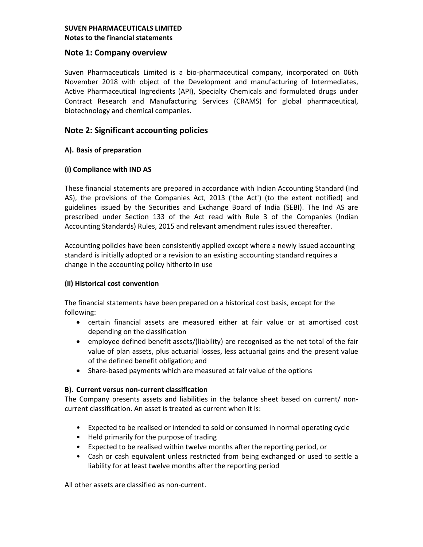# **Note 1: Company overview**

Suven Pharmaceuticals Limited is a bio-pharmaceutical company, incorporated on 06th November 2018 with object of the Development and manufacturing of Intermediates, Active Pharmaceutical Ingredients (API), Specialty Chemicals and formulated drugs under Contract Research and Manufacturing Services (CRAMS) for global pharmaceutical, biotechnology and chemical companies.

# **Note 2: Significant accounting policies**

# **A). Basis of preparation**

## **(i) Compliance with IND AS**

These financial statements are prepared in accordance with Indian Accounting Standard (Ind AS), the provisions of the Companies Act, 2013 ('the Act') (to the extent notified) and guidelines issued by the Securities and Exchange Board of India (SEBI). The Ind AS are prescribed under Section 133 of the Act read with Rule 3 of the Companies (Indian Accounting Standards) Rules, 2015 and relevant amendment rules issued thereafter.

Accounting policies have been consistently applied except where a newly issued accounting standard is initially adopted or a revision to an existing accounting standard requires a change in the accounting policy hitherto in use

# **(ii) Historical cost convention**

The financial statements have been prepared on a historical cost basis, except for the following:

- certain financial assets are measured either at fair value or at amortised cost depending on the classification
- employee defined benefit assets/(liability) are recognised as the net total of the fair value of plan assets, plus actuarial losses, less actuarial gains and the present value of the defined benefit obligation; and
- Share-based payments which are measured at fair value of the options

# **B). Current versus non-current classification**

The Company presents assets and liabilities in the balance sheet based on current/ noncurrent classification. An asset is treated as current when it is:

- Expected to be realised or intended to sold or consumed in normal operating cycle
- Held primarily for the purpose of trading
- Expected to be realised within twelve months after the reporting period, or
- Cash or cash equivalent unless restricted from being exchanged or used to settle a liability for at least twelve months after the reporting period

All other assets are classified as non-current.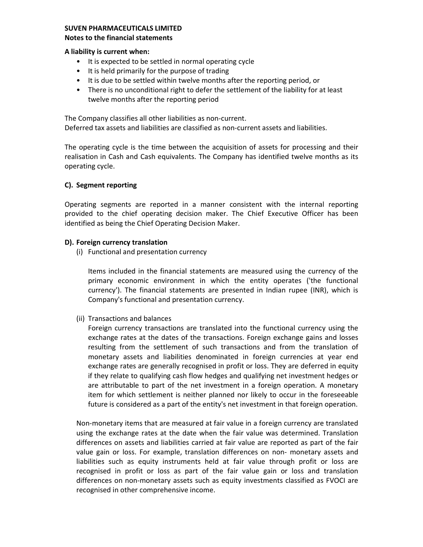# **SUVEN PHARMACEUTICALS LIMITED**

#### **Notes to the financial statements**

#### **A liability is current when:**

- It is expected to be settled in normal operating cycle
- It is held primarily for the purpose of trading
- It is due to be settled within twelve months after the reporting period, or
- There is no unconditional right to defer the settlement of the liability for at least twelve months after the reporting period

The Company classifies all other liabilities as non-current. Deferred tax assets and liabilities are classified as non-current assets and liabilities.

The operating cycle is the time between the acquisition of assets for processing and their realisation in Cash and Cash equivalents. The Company has identified twelve months as its operating cycle.

## **C). Segment reporting**

Operating segments are reported in a manner consistent with the internal reporting provided to the chief operating decision maker. The Chief Executive Officer has been identified as being the Chief Operating Decision Maker.

## **D). Foreign currency translation**

(i) Functional and presentation currency

Items included in the financial statements are measured using the currency of the primary economic environment in which the entity operates ('the functional currency'). The financial statements are presented in Indian rupee (INR), which is Company's functional and presentation currency.

(ii) Transactions and balances

Foreign currency transactions are translated into the functional currency using the exchange rates at the dates of the transactions. Foreign exchange gains and losses resulting from the settlement of such transactions and from the translation of monetary assets and liabilities denominated in foreign currencies at year end exchange rates are generally recognised in profit or loss. They are deferred in equity if they relate to qualifying cash flow hedges and qualifying net investment hedges or are attributable to part of the net investment in a foreign operation. A monetary item for which settlement is neither planned nor likely to occur in the foreseeable future is considered as a part of the entity's net investment in that foreign operation.

Non-monetary items that are measured at fair value in a foreign currency are translated using the exchange rates at the date when the fair value was determined. Translation differences on assets and liabilities carried at fair value are reported as part of the fair value gain or loss. For example, translation differences on non- monetary assets and liabilities such as equity instruments held at fair value through profit or loss are recognised in profit or loss as part of the fair value gain or loss and translation differences on non-monetary assets such as equity investments classified as FVOCI are recognised in other comprehensive income.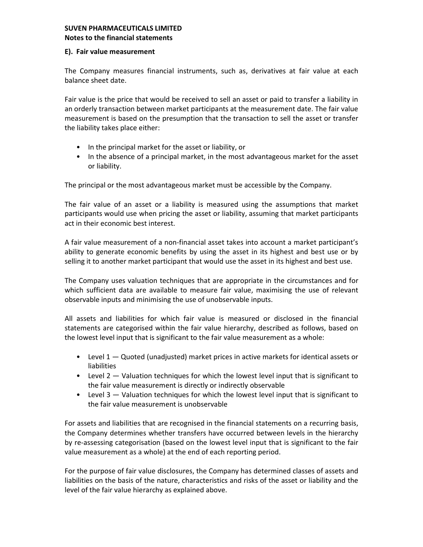## **E). Fair value measurement**

The Company measures financial instruments, such as, derivatives at fair value at each balance sheet date.

Fair value is the price that would be received to sell an asset or paid to transfer a liability in an orderly transaction between market participants at the measurement date. The fair value measurement is based on the presumption that the transaction to sell the asset or transfer the liability takes place either:

- In the principal market for the asset or liability, or
- In the absence of a principal market, in the most advantageous market for the asset or liability.

The principal or the most advantageous market must be accessible by the Company.

The fair value of an asset or a liability is measured using the assumptions that market participants would use when pricing the asset or liability, assuming that market participants act in their economic best interest.

A fair value measurement of a non-financial asset takes into account a market participant's ability to generate economic benefits by using the asset in its highest and best use or by selling it to another market participant that would use the asset in its highest and best use.

The Company uses valuation techniques that are appropriate in the circumstances and for which sufficient data are available to measure fair value, maximising the use of relevant observable inputs and minimising the use of unobservable inputs.

All assets and liabilities for which fair value is measured or disclosed in the financial statements are categorised within the fair value hierarchy, described as follows, based on the lowest level input that is significant to the fair value measurement as a whole:

- Level  $1 -$  Quoted (unadjusted) market prices in active markets for identical assets or liabilities
- Level 2 Valuation techniques for which the lowest level input that is significant to the fair value measurement is directly or indirectly observable
- Level 3 Valuation techniques for which the lowest level input that is significant to the fair value measurement is unobservable

For assets and liabilities that are recognised in the financial statements on a recurring basis, the Company determines whether transfers have occurred between levels in the hierarchy by re-assessing categorisation (based on the lowest level input that is significant to the fair value measurement as a whole) at the end of each reporting period.

For the purpose of fair value disclosures, the Company has determined classes of assets and liabilities on the basis of the nature, characteristics and risks of the asset or liability and the level of the fair value hierarchy as explained above.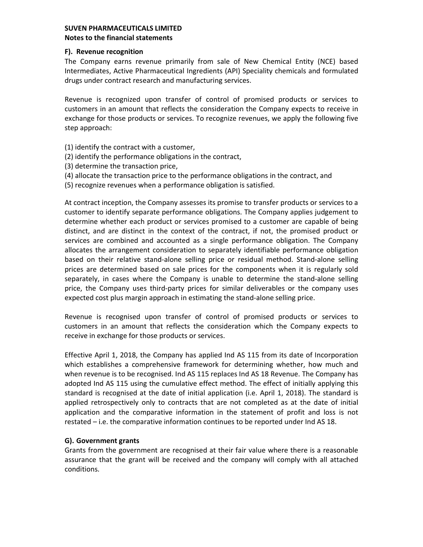### **F). Revenue recognition**

The Company earns revenue primarily from sale of New Chemical Entity (NCE) based Intermediates, Active Pharmaceutical Ingredients (API) Speciality chemicals and formulated drugs under contract research and manufacturing services.

Revenue is recognized upon transfer of control of promised products or services to customers in an amount that reflects the consideration the Company expects to receive in exchange for those products or services. To recognize revenues, we apply the following five step approach:

- (1) identify the contract with a customer,
- (2) identify the performance obligations in the contract,
- (3) determine the transaction price,
- (4) allocate the transaction price to the performance obligations in the contract, and
- (5) recognize revenues when a performance obligation is satisfied.

At contract inception, the Company assesses its promise to transfer products or services to a customer to identify separate performance obligations. The Company applies judgement to determine whether each product or services promised to a customer are capable of being distinct, and are distinct in the context of the contract, if not, the promised product or services are combined and accounted as a single performance obligation. The Company allocates the arrangement consideration to separately identifiable performance obligation based on their relative stand-alone selling price or residual method. Stand-alone selling prices are determined based on sale prices for the components when it is regularly sold separately, in cases where the Company is unable to determine the stand-alone selling price, the Company uses third-party prices for similar deliverables or the company uses expected cost plus margin approach in estimating the stand-alone selling price.

Revenue is recognised upon transfer of control of promised products or services to customers in an amount that reflects the consideration which the Company expects to receive in exchange for those products or services.

Effective April 1, 2018, the Company has applied Ind AS 115 from its date of Incorporation which establishes a comprehensive framework for determining whether, how much and when revenue is to be recognised. Ind AS 115 replaces Ind AS 18 Revenue. The Company has adopted Ind AS 115 using the cumulative effect method. The effect of initially applying this standard is recognised at the date of initial application (i.e. April 1, 2018). The standard is applied retrospectively only to contracts that are not completed as at the date of initial application and the comparative information in the statement of profit and loss is not restated – i.e. the comparative information continues to be reported under Ind AS 18.

# **G). Government grants**

Grants from the government are recognised at their fair value where there is a reasonable assurance that the grant will be received and the company will comply with all attached conditions.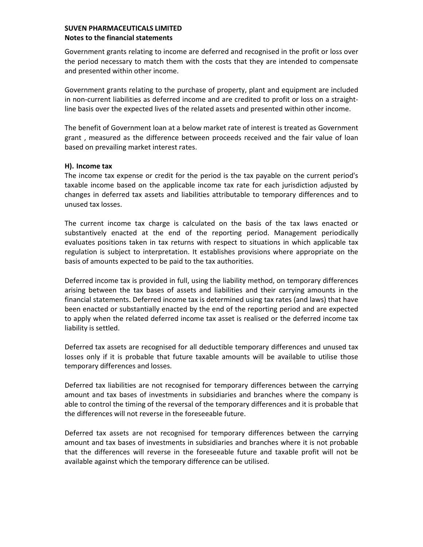Government grants relating to income are deferred and recognised in the profit or loss over the period necessary to match them with the costs that they are intended to compensate and presented within other income.

Government grants relating to the purchase of property, plant and equipment are included in non-current liabilities as deferred income and are credited to profit or loss on a straightline basis over the expected lives of the related assets and presented within other income.

The benefit of Government loan at a below market rate of interest is treated as Government grant , measured as the difference between proceeds received and the fair value of loan based on prevailing market interest rates.

## **H). Income tax**

The income tax expense or credit for the period is the tax payable on the current period's taxable income based on the applicable income tax rate for each jurisdiction adjusted by changes in deferred tax assets and liabilities attributable to temporary differences and to unused tax losses.

The current income tax charge is calculated on the basis of the tax laws enacted or substantively enacted at the end of the reporting period. Management periodically evaluates positions taken in tax returns with respect to situations in which applicable tax regulation is subject to interpretation. It establishes provisions where appropriate on the basis of amounts expected to be paid to the tax authorities.

Deferred income tax is provided in full, using the liability method, on temporary differences arising between the tax bases of assets and liabilities and their carrying amounts in the financial statements. Deferred income tax is determined using tax rates (and laws) that have been enacted or substantially enacted by the end of the reporting period and are expected to apply when the related deferred income tax asset is realised or the deferred income tax liability is settled.

Deferred tax assets are recognised for all deductible temporary differences and unused tax losses only if it is probable that future taxable amounts will be available to utilise those temporary differences and losses.

Deferred tax liabilities are not recognised for temporary differences between the carrying amount and tax bases of investments in subsidiaries and branches where the company is able to control the timing of the reversal of the temporary differences and it is probable that the differences will not reverse in the foreseeable future.

Deferred tax assets are not recognised for temporary differences between the carrying amount and tax bases of investments in subsidiaries and branches where it is not probable that the differences will reverse in the foreseeable future and taxable profit will not be available against which the temporary difference can be utilised.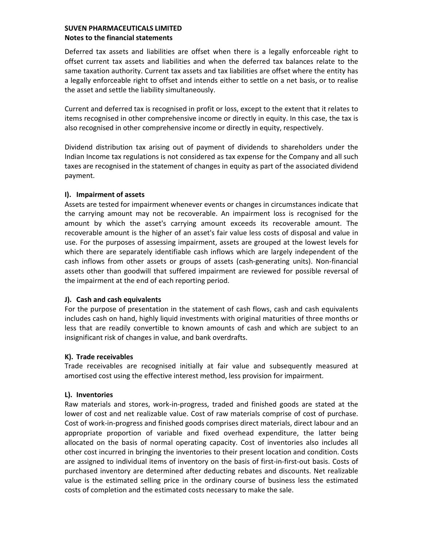Deferred tax assets and liabilities are offset when there is a legally enforceable right to offset current tax assets and liabilities and when the deferred tax balances relate to the same taxation authority. Current tax assets and tax liabilities are offset where the entity has a legally enforceable right to offset and intends either to settle on a net basis, or to realise the asset and settle the liability simultaneously.

Current and deferred tax is recognised in profit or loss, except to the extent that it relates to items recognised in other comprehensive income or directly in equity. In this case, the tax is also recognised in other comprehensive income or directly in equity, respectively.

Dividend distribution tax arising out of payment of dividends to shareholders under the Indian Income tax regulations is not considered as tax expense for the Company and all such taxes are recognised in the statement of changes in equity as part of the associated dividend payment.

## **I). Impairment of assets**

Assets are tested for impairment whenever events or changes in circumstances indicate that the carrying amount may not be recoverable. An impairment loss is recognised for the amount by which the asset's carrying amount exceeds its recoverable amount. The recoverable amount is the higher of an asset's fair value less costs of disposal and value in use. For the purposes of assessing impairment, assets are grouped at the lowest levels for which there are separately identifiable cash inflows which are largely independent of the cash inflows from other assets or groups of assets (cash-generating units). Non-financial assets other than goodwill that suffered impairment are reviewed for possible reversal of the impairment at the end of each reporting period.

# **J). Cash and cash equivalents**

For the purpose of presentation in the statement of cash flows, cash and cash equivalents includes cash on hand, highly liquid investments with original maturities of three months or less that are readily convertible to known amounts of cash and which are subject to an insignificant risk of changes in value, and bank overdrafts.

# **K). Trade receivables**

Trade receivables are recognised initially at fair value and subsequently measured at amortised cost using the effective interest method, less provision for impairment.

## **L). Inventories**

Raw materials and stores, work-in-progress, traded and finished goods are stated at the lower of cost and net realizable value. Cost of raw materials comprise of cost of purchase. Cost of work-in-progress and finished goods comprises direct materials, direct labour and an appropriate proportion of variable and fixed overhead expenditure, the latter being allocated on the basis of normal operating capacity. Cost of inventories also includes all other cost incurred in bringing the inventories to their present location and condition. Costs are assigned to individual items of inventory on the basis of first-in-first-out basis. Costs of purchased inventory are determined after deducting rebates and discounts. Net realizable value is the estimated selling price in the ordinary course of business less the estimated costs of completion and the estimated costs necessary to make the sale.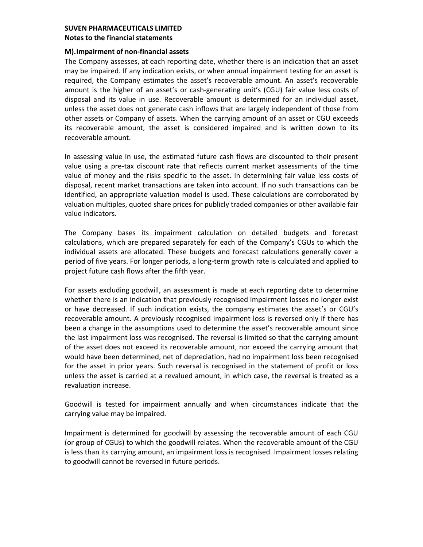#### **M).Impairment of non-financial assets**

The Company assesses, at each reporting date, whether there is an indication that an asset may be impaired. If any indication exists, or when annual impairment testing for an asset is required, the Company estimates the asset's recoverable amount. An asset's recoverable amount is the higher of an asset's or cash-generating unit's (CGU) fair value less costs of disposal and its value in use. Recoverable amount is determined for an individual asset, unless the asset does not generate cash inflows that are largely independent of those from other assets or Company of assets. When the carrying amount of an asset or CGU exceeds its recoverable amount, the asset is considered impaired and is written down to its recoverable amount.

In assessing value in use, the estimated future cash flows are discounted to their present value using a pre-tax discount rate that reflects current market assessments of the time value of money and the risks specific to the asset. In determining fair value less costs of disposal, recent market transactions are taken into account. If no such transactions can be identified, an appropriate valuation model is used. These calculations are corroborated by valuation multiples, quoted share prices for publicly traded companies or other available fair value indicators.

The Company bases its impairment calculation on detailed budgets and forecast calculations, which are prepared separately for each of the Company's CGUs to which the individual assets are allocated. These budgets and forecast calculations generally cover a period of five years. For longer periods, a long-term growth rate is calculated and applied to project future cash flows after the fifth year.

For assets excluding goodwill, an assessment is made at each reporting date to determine whether there is an indication that previously recognised impairment losses no longer exist or have decreased. If such indication exists, the company estimates the asset's or CGU's recoverable amount. A previously recognised impairment loss is reversed only if there has been a change in the assumptions used to determine the asset's recoverable amount since the last impairment loss was recognised. The reversal is limited so that the carrying amount of the asset does not exceed its recoverable amount, nor exceed the carrying amount that would have been determined, net of depreciation, had no impairment loss been recognised for the asset in prior years. Such reversal is recognised in the statement of profit or loss unless the asset is carried at a revalued amount, in which case, the reversal is treated as a revaluation increase.

Goodwill is tested for impairment annually and when circumstances indicate that the carrying value may be impaired.

Impairment is determined for goodwill by assessing the recoverable amount of each CGU (or group of CGUs) to which the goodwill relates. When the recoverable amount of the CGU is less than its carrying amount, an impairment loss is recognised. Impairment losses relating to goodwill cannot be reversed in future periods.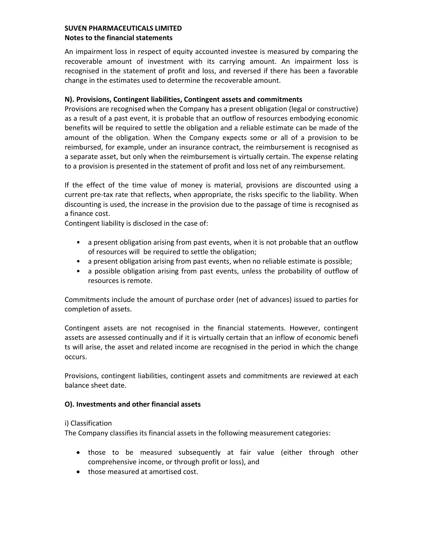An impairment loss in respect of equity accounted investee is measured by comparing the recoverable amount of investment with its carrying amount. An impairment loss is recognised in the statement of profit and loss, and reversed if there has been a favorable change in the estimates used to determine the recoverable amount.

## **N). Provisions, Contingent liabilities, Contingent assets and commitments**

Provisions are recognised when the Company has a present obligation (legal or constructive) as a result of a past event, it is probable that an outflow of resources embodying economic benefits will be required to settle the obligation and a reliable estimate can be made of the amount of the obligation. When the Company expects some or all of a provision to be reimbursed, for example, under an insurance contract, the reimbursement is recognised as a separate asset, but only when the reimbursement is virtually certain. The expense relating to a provision is presented in the statement of profit and loss net of any reimbursement.

If the effect of the time value of money is material, provisions are discounted using a current pre-tax rate that reflects, when appropriate, the risks specific to the liability. When discounting is used, the increase in the provision due to the passage of time is recognised as a finance cost.

Contingent liability is disclosed in the case of:

- a present obligation arising from past events, when it is not probable that an outflow of resources will be required to settle the obligation;
- a present obligation arising from past events, when no reliable estimate is possible;
- a possible obligation arising from past events, unless the probability of outflow of resources is remote.

Commitments include the amount of purchase order (net of advances) issued to parties for completion of assets.

Contingent assets are not recognised in the financial statements. However, contingent assets are assessed continually and if it is virtually certain that an inflow of economic benefi ts will arise, the asset and related income are recognised in the period in which the change occurs.

Provisions, contingent liabilities, contingent assets and commitments are reviewed at each balance sheet date.

## **O). Investments and other financial assets**

## i) Classification

The Company classifies its financial assets in the following measurement categories:

- those to be measured subsequently at fair value (either through other comprehensive income, or through profit or loss), and
- those measured at amortised cost.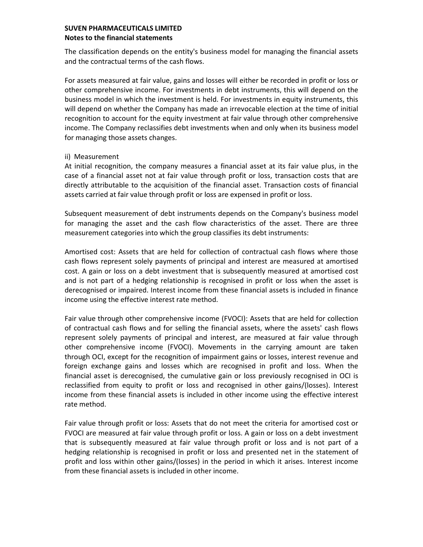The classification depends on the entity's business model for managing the financial assets and the contractual terms of the cash flows.

For assets measured at fair value, gains and losses will either be recorded in profit or loss or other comprehensive income. For investments in debt instruments, this will depend on the business model in which the investment is held. For investments in equity instruments, this will depend on whether the Company has made an irrevocable election at the time of initial recognition to account for the equity investment at fair value through other comprehensive income. The Company reclassifies debt investments when and only when its business model for managing those assets changes.

## ii) Measurement

At initial recognition, the company measures a financial asset at its fair value plus, in the case of a financial asset not at fair value through profit or loss, transaction costs that are directly attributable to the acquisition of the financial asset. Transaction costs of financial assets carried at fair value through profit or loss are expensed in profit or loss.

Subsequent measurement of debt instruments depends on the Company's business model for managing the asset and the cash flow characteristics of the asset. There are three measurement categories into which the group classifies its debt instruments:

Amortised cost: Assets that are held for collection of contractual cash flows where those cash flows represent solely payments of principal and interest are measured at amortised cost. A gain or loss on a debt investment that is subsequently measured at amortised cost and is not part of a hedging relationship is recognised in profit or loss when the asset is derecognised or impaired. Interest income from these financial assets is included in finance income using the effective interest rate method.

Fair value through other comprehensive income (FVOCI): Assets that are held for collection of contractual cash flows and for selling the financial assets, where the assets' cash flows represent solely payments of principal and interest, are measured at fair value through other comprehensive income (FVOCI). Movements in the carrying amount are taken through OCI, except for the recognition of impairment gains or losses, interest revenue and foreign exchange gains and losses which are recognised in profit and loss. When the financial asset is derecognised, the cumulative gain or loss previously recognised in OCI is reclassified from equity to profit or loss and recognised in other gains/(losses). Interest income from these financial assets is included in other income using the effective interest rate method.

Fair value through profit or loss: Assets that do not meet the criteria for amortised cost or FVOCI are measured at fair value through profit or loss. A gain or loss on a debt investment that is subsequently measured at fair value through profit or loss and is not part of a hedging relationship is recognised in profit or loss and presented net in the statement of profit and loss within other gains/(losses) in the period in which it arises. Interest income from these financial assets is included in other income.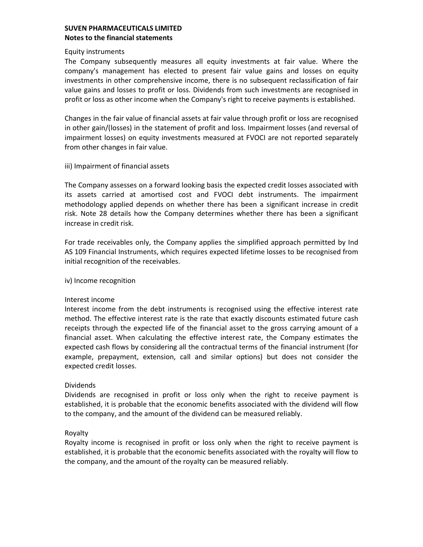### Equity instruments

The Company subsequently measures all equity investments at fair value. Where the company's management has elected to present fair value gains and losses on equity investments in other comprehensive income, there is no subsequent reclassification of fair value gains and losses to profit or loss. Dividends from such investments are recognised in profit or loss as other income when the Company's right to receive payments is established.

Changes in the fair value of financial assets at fair value through profit or loss are recognised in other gain/(losses) in the statement of profit and loss. Impairment losses (and reversal of impairment losses) on equity investments measured at FVOCI are not reported separately from other changes in fair value.

## iii) Impairment of financial assets

The Company assesses on a forward looking basis the expected credit losses associated with its assets carried at amortised cost and FVOCI debt instruments. The impairment methodology applied depends on whether there has been a significant increase in credit risk. Note 28 details how the Company determines whether there has been a significant increase in credit risk.

For trade receivables only, the Company applies the simplified approach permitted by Ind AS 109 Financial Instruments, which requires expected lifetime losses to be recognised from initial recognition of the receivables.

#### iv) Income recognition

## Interest income

Interest income from the debt instruments is recognised using the effective interest rate method. The effective interest rate is the rate that exactly discounts estimated future cash receipts through the expected life of the financial asset to the gross carrying amount of a financial asset. When calculating the effective interest rate, the Company estimates the expected cash flows by considering all the contractual terms of the financial instrument (for example, prepayment, extension, call and similar options) but does not consider the expected credit losses.

## Dividends

Dividends are recognised in profit or loss only when the right to receive payment is established, it is probable that the economic benefits associated with the dividend will flow to the company, and the amount of the dividend can be measured reliably.

## Royalty

Royalty income is recognised in profit or loss only when the right to receive payment is established, it is probable that the economic benefits associated with the royalty will flow to the company, and the amount of the royalty can be measured reliably.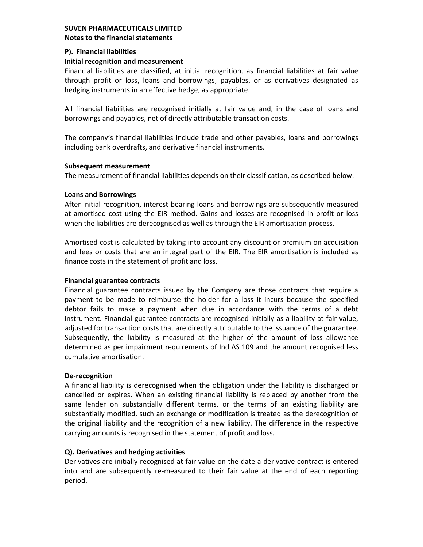## **P). Financial liabilities**

## **Initial recognition and measurement**

Financial liabilities are classified, at initial recognition, as financial liabilities at fair value through profit or loss, loans and borrowings, payables, or as derivatives designated as hedging instruments in an effective hedge, as appropriate.

All financial liabilities are recognised initially at fair value and, in the case of loans and borrowings and payables, net of directly attributable transaction costs.

The company's financial liabilities include trade and other payables, loans and borrowings including bank overdrafts, and derivative financial instruments.

## **Subsequent measurement**

The measurement of financial liabilities depends on their classification, as described below:

## **Loans and Borrowings**

After initial recognition, interest-bearing loans and borrowings are subsequently measured at amortised cost using the EIR method. Gains and losses are recognised in profit or loss when the liabilities are derecognised as well as through the EIR amortisation process.

Amortised cost is calculated by taking into account any discount or premium on acquisition and fees or costs that are an integral part of the EIR. The EIR amortisation is included as finance costs in the statement of profit and loss.

# **Financial guarantee contracts**

Financial guarantee contracts issued by the Company are those contracts that require a payment to be made to reimburse the holder for a loss it incurs because the specified debtor fails to make a payment when due in accordance with the terms of a debt instrument. Financial guarantee contracts are recognised initially as a liability at fair value, adjusted for transaction costs that are directly attributable to the issuance of the guarantee. Subsequently, the liability is measured at the higher of the amount of loss allowance determined as per impairment requirements of Ind AS 109 and the amount recognised less cumulative amortisation.

# **De-recognition**

A financial liability is derecognised when the obligation under the liability is discharged or cancelled or expires. When an existing financial liability is replaced by another from the same lender on substantially different terms, or the terms of an existing liability are substantially modified, such an exchange or modification is treated as the derecognition of the original liability and the recognition of a new liability. The difference in the respective carrying amounts is recognised in the statement of profit and loss.

# **Q). Derivatives and hedging activities**

Derivatives are initially recognised at fair value on the date a derivative contract is entered into and are subsequently re-measured to their fair value at the end of each reporting period.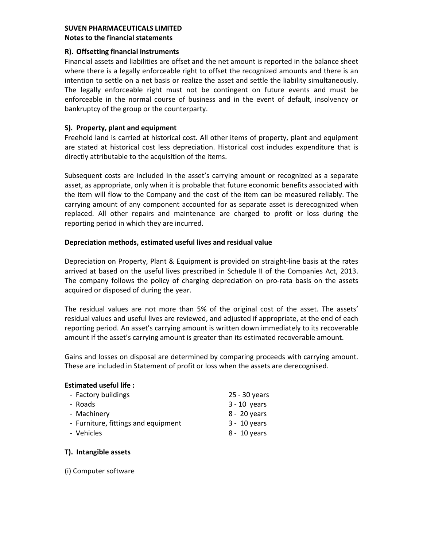## **R). Offsetting financial instruments**

Financial assets and liabilities are offset and the net amount is reported in the balance sheet where there is a legally enforceable right to offset the recognized amounts and there is an intention to settle on a net basis or realize the asset and settle the liability simultaneously. The legally enforceable right must not be contingent on future events and must be enforceable in the normal course of business and in the event of default, insolvency or bankruptcy of the group or the counterparty.

## **S). Property, plant and equipment**

Freehold land is carried at historical cost. All other items of property, plant and equipment are stated at historical cost less depreciation. Historical cost includes expenditure that is directly attributable to the acquisition of the items.

Subsequent costs are included in the asset's carrying amount or recognized as a separate asset, as appropriate, only when it is probable that future economic benefits associated with the item will flow to the Company and the cost of the item can be measured reliably. The carrying amount of any component accounted for as separate asset is derecognized when replaced. All other repairs and maintenance are charged to profit or loss during the reporting period in which they are incurred.

## **Depreciation methods, estimated useful lives and residual value**

Depreciation on Property, Plant & Equipment is provided on straight-line basis at the rates arrived at based on the useful lives prescribed in Schedule II of the Companies Act, 2013. The company follows the policy of charging depreciation on pro-rata basis on the assets acquired or disposed of during the year.

The residual values are not more than 5% of the original cost of the asset. The assets' residual values and useful lives are reviewed, and adjusted if appropriate, at the end of each reporting period. An asset's carrying amount is written down immediately to its recoverable amount if the asset's carrying amount is greater than its estimated recoverable amount.

Gains and losses on disposal are determined by comparing proceeds with carrying amount. These are included in Statement of profit or loss when the assets are derecognised.

## **Estimated useful life :**

| - Factory buildings                 | 25 - 30 years  |
|-------------------------------------|----------------|
| - Roads                             | $3 - 10$ years |
| - Machinery                         | 8 - 20 years   |
| - Furniture, fittings and equipment | $3 - 10$ years |
| - Vehicles                          | 8 - 10 years   |
|                                     |                |

# **T). Intangible assets**

(i) Computer software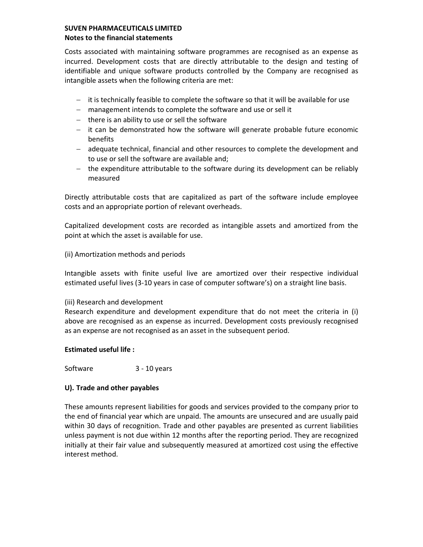Costs associated with maintaining software programmes are recognised as an expense as incurred. Development costs that are directly attributable to the design and testing of identifiable and unique software products controlled by the Company are recognised as intangible assets when the following criteria are met:

- $-$  it is technically feasible to complete the software so that it will be available for use
- management intends to complete the software and use or sell it
- $-$  there is an ability to use or sell the software
- $-$  it can be demonstrated how the software will generate probable future economic benefits
- adequate technical, financial and other resources to complete the development and to use or sell the software are available and;
- $-$  the expenditure attributable to the software during its development can be reliably measured

Directly attributable costs that are capitalized as part of the software include employee costs and an appropriate portion of relevant overheads.

Capitalized development costs are recorded as intangible assets and amortized from the point at which the asset is available for use.

(ii) Amortization methods and periods

Intangible assets with finite useful live are amortized over their respective individual estimated useful lives (3-10 years in case of computer software's) on a straight line basis.

## (iii) Research and development

Research expenditure and development expenditure that do not meet the criteria in (i) above are recognised as an expense as incurred. Development costs previously recognised as an expense are not recognised as an asset in the subsequent period.

## **Estimated useful life :**

Software 3 - 10 years

## **U). Trade and other payables**

These amounts represent liabilities for goods and services provided to the company prior to the end of financial year which are unpaid. The amounts are unsecured and are usually paid within 30 days of recognition. Trade and other payables are presented as current liabilities unless payment is not due within 12 months after the reporting period. They are recognized initially at their fair value and subsequently measured at amortized cost using the effective interest method.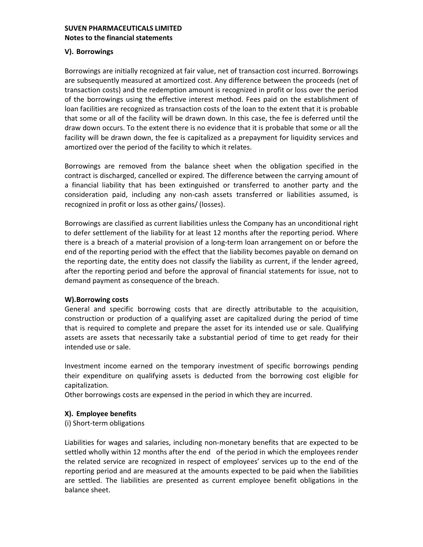### **V). Borrowings**

Borrowings are initially recognized at fair value, net of transaction cost incurred. Borrowings are subsequently measured at amortized cost. Any difference between the proceeds (net of transaction costs) and the redemption amount is recognized in profit or loss over the period of the borrowings using the effective interest method. Fees paid on the establishment of loan facilities are recognized as transaction costs of the loan to the extent that it is probable that some or all of the facility will be drawn down. In this case, the fee is deferred until the draw down occurs. To the extent there is no evidence that it is probable that some or all the facility will be drawn down, the fee is capitalized as a prepayment for liquidity services and amortized over the period of the facility to which it relates.

Borrowings are removed from the balance sheet when the obligation specified in the contract is discharged, cancelled or expired. The difference between the carrying amount of a financial liability that has been extinguished or transferred to another party and the consideration paid, including any non-cash assets transferred or liabilities assumed, is recognized in profit or loss as other gains/ (losses).

Borrowings are classified as current liabilities unless the Company has an unconditional right to defer settlement of the liability for at least 12 months after the reporting period. Where there is a breach of a material provision of a long-term loan arrangement on or before the end of the reporting period with the effect that the liability becomes payable on demand on the reporting date, the entity does not classify the liability as current, if the lender agreed, after the reporting period and before the approval of financial statements for issue, not to demand payment as consequence of the breach.

### **W).Borrowing costs**

General and specific borrowing costs that are directly attributable to the acquisition, construction or production of a qualifying asset are capitalized during the period of time that is required to complete and prepare the asset for its intended use or sale. Qualifying assets are assets that necessarily take a substantial period of time to get ready for their intended use or sale.

Investment income earned on the temporary investment of specific borrowings pending their expenditure on qualifying assets is deducted from the borrowing cost eligible for capitalization.

Other borrowings costs are expensed in the period in which they are incurred.

## **X). Employee benefits**

(i) Short-term obligations

Liabilities for wages and salaries, including non-monetary benefits that are expected to be settled wholly within 12 months after the end of the period in which the employees render the related service are recognized in respect of employees' services up to the end of the reporting period and are measured at the amounts expected to be paid when the liabilities are settled. The liabilities are presented as current employee benefit obligations in the balance sheet.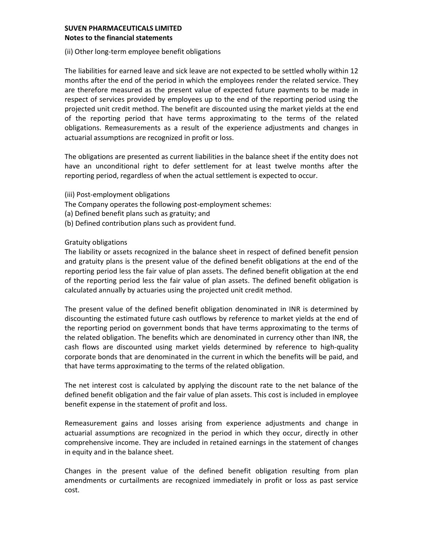## (ii) Other long-term employee benefit obligations

The liabilities for earned leave and sick leave are not expected to be settled wholly within 12 months after the end of the period in which the employees render the related service. They are therefore measured as the present value of expected future payments to be made in respect of services provided by employees up to the end of the reporting period using the projected unit credit method. The benefit are discounted using the market yields at the end of the reporting period that have terms approximating to the terms of the related obligations. Remeasurements as a result of the experience adjustments and changes in actuarial assumptions are recognized in profit or loss.

The obligations are presented as current liabilities in the balance sheet if the entity does not have an unconditional right to defer settlement for at least twelve months after the reporting period, regardless of when the actual settlement is expected to occur.

- (iii) Post-employment obligations
- The Company operates the following post-employment schemes:
- (a) Defined benefit plans such as gratuity; and
- (b) Defined contribution plans such as provident fund.

## Gratuity obligations

The liability or assets recognized in the balance sheet in respect of defined benefit pension and gratuity plans is the present value of the defined benefit obligations at the end of the reporting period less the fair value of plan assets. The defined benefit obligation at the end of the reporting period less the fair value of plan assets. The defined benefit obligation is calculated annually by actuaries using the projected unit credit method.

The present value of the defined benefit obligation denominated in INR is determined by discounting the estimated future cash outflows by reference to market yields at the end of the reporting period on government bonds that have terms approximating to the terms of the related obligation. The benefits which are denominated in currency other than INR, the cash flows are discounted using market yields determined by reference to high-quality corporate bonds that are denominated in the current in which the benefits will be paid, and that have terms approximating to the terms of the related obligation.

The net interest cost is calculated by applying the discount rate to the net balance of the defined benefit obligation and the fair value of plan assets. This cost is included in employee benefit expense in the statement of profit and loss.

Remeasurement gains and losses arising from experience adjustments and change in actuarial assumptions are recognized in the period in which they occur, directly in other comprehensive income. They are included in retained earnings in the statement of changes in equity and in the balance sheet.

Changes in the present value of the defined benefit obligation resulting from plan amendments or curtailments are recognized immediately in profit or loss as past service cost.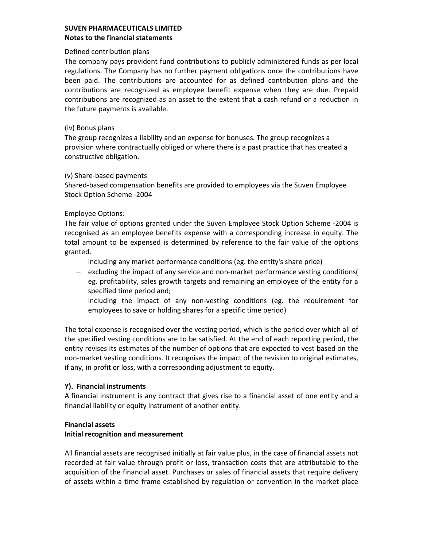### Defined contribution plans

The company pays provident fund contributions to publicly administered funds as per local regulations. The Company has no further payment obligations once the contributions have been paid. The contributions are accounted for as defined contribution plans and the contributions are recognized as employee benefit expense when they are due. Prepaid contributions are recognized as an asset to the extent that a cash refund or a reduction in the future payments is available.

#### (iv) Bonus plans

The group recognizes a liability and an expense for bonuses. The group recognizes a provision where contractually obliged or where there is a past practice that has created a constructive obligation.

#### (v) Share-based payments

Shared-based compensation benefits are provided to employees via the Suven Employee Stock Option Scheme -2004

## Employee Options:

The fair value of options granted under the Suven Employee Stock Option Scheme -2004 is recognised as an employee benefits expense with a corresponding increase in equity. The total amount to be expensed is determined by reference to the fair value of the options granted.

- $-$  including any market performance conditions (eg. the entity's share price)
- $-$  excluding the impact of any service and non-market performance vesting conditions( eg. profitability, sales growth targets and remaining an employee of the entity for a specified time period and;
- $-$  including the impact of any non-vesting conditions (eg. the requirement for employees to save or holding shares for a specific time period)

The total expense is recognised over the vesting period, which is the period over which all of the specified vesting conditions are to be satisfied. At the end of each reporting period, the entity revises its estimates of the number of options that are expected to vest based on the non-market vesting conditions. It recognises the impact of the revision to original estimates, if any, in profit or loss, with a corresponding adjustment to equity.

## **Y). Financial instruments**

A financial instrument is any contract that gives rise to a financial asset of one entity and a financial liability or equity instrument of another entity.

## **Financial assets**

## **Initial recognition and measurement**

All financial assets are recognised initially at fair value plus, in the case of financial assets not recorded at fair value through profit or loss, transaction costs that are attributable to the acquisition of the financial asset. Purchases or sales of financial assets that require delivery of assets within a time frame established by regulation or convention in the market place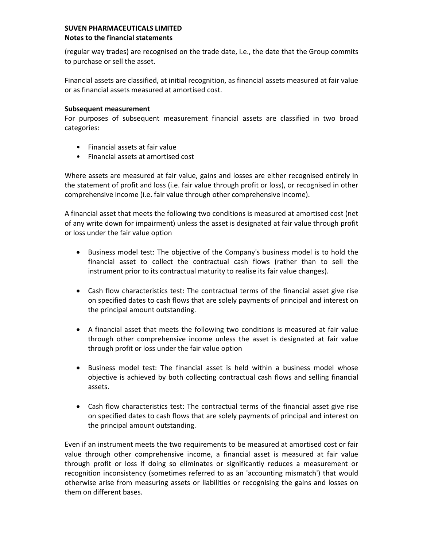(regular way trades) are recognised on the trade date, i.e., the date that the Group commits to purchase or sell the asset.

Financial assets are classified, at initial recognition, as financial assets measured at fair value or as financial assets measured at amortised cost.

## **Subsequent measurement**

For purposes of subsequent measurement financial assets are classified in two broad categories:

- Financial assets at fair value
- Financial assets at amortised cost

Where assets are measured at fair value, gains and losses are either recognised entirely in the statement of profit and loss (i.e. fair value through profit or loss), or recognised in other comprehensive income (i.e. fair value through other comprehensive income).

A financial asset that meets the following two conditions is measured at amortised cost (net of any write down for impairment) unless the asset is designated at fair value through profit or loss under the fair value option

- Business model test: The objective of the Company's business model is to hold the financial asset to collect the contractual cash flows (rather than to sell the instrument prior to its contractual maturity to realise its fair value changes).
- Cash flow characteristics test: The contractual terms of the financial asset give rise on specified dates to cash flows that are solely payments of principal and interest on the principal amount outstanding.
- A financial asset that meets the following two conditions is measured at fair value through other comprehensive income unless the asset is designated at fair value through profit or loss under the fair value option
- Business model test: The financial asset is held within a business model whose objective is achieved by both collecting contractual cash flows and selling financial assets.
- Cash flow characteristics test: The contractual terms of the financial asset give rise on specified dates to cash flows that are solely payments of principal and interest on the principal amount outstanding.

Even if an instrument meets the two requirements to be measured at amortised cost or fair value through other comprehensive income, a financial asset is measured at fair value through profit or loss if doing so eliminates or significantly reduces a measurement or recognition inconsistency (sometimes referred to as an 'accounting mismatch') that would otherwise arise from measuring assets or liabilities or recognising the gains and losses on them on different bases.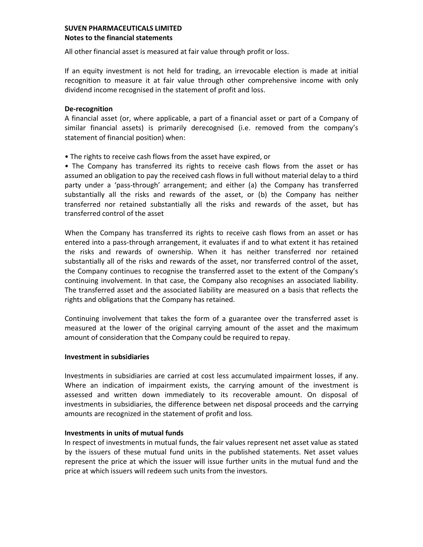All other financial asset is measured at fair value through profit or loss.

If an equity investment is not held for trading, an irrevocable election is made at initial recognition to measure it at fair value through other comprehensive income with only dividend income recognised in the statement of profit and loss.

## **De-recognition**

A financial asset (or, where applicable, a part of a financial asset or part of a Company of similar financial assets) is primarily derecognised (i.e. removed from the company's statement of financial position) when:

• The rights to receive cash flows from the asset have expired, or

• The Company has transferred its rights to receive cash flows from the asset or has assumed an obligation to pay the received cash flows in full without material delay to a third party under a 'pass-through' arrangement; and either (a) the Company has transferred substantially all the risks and rewards of the asset, or (b) the Company has neither transferred nor retained substantially all the risks and rewards of the asset, but has transferred control of the asset

When the Company has transferred its rights to receive cash flows from an asset or has entered into a pass-through arrangement, it evaluates if and to what extent it has retained the risks and rewards of ownership. When it has neither transferred nor retained substantially all of the risks and rewards of the asset, nor transferred control of the asset, the Company continues to recognise the transferred asset to the extent of the Company's continuing involvement. In that case, the Company also recognises an associated liability. The transferred asset and the associated liability are measured on a basis that reflects the rights and obligations that the Company has retained.

Continuing involvement that takes the form of a guarantee over the transferred asset is measured at the lower of the original carrying amount of the asset and the maximum amount of consideration that the Company could be required to repay.

## **Investment in subsidiaries**

Investments in subsidiaries are carried at cost less accumulated impairment losses, if any. Where an indication of impairment exists, the carrying amount of the investment is assessed and written down immediately to its recoverable amount. On disposal of investments in subsidiaries, the difference between net disposal proceeds and the carrying amounts are recognized in the statement of profit and loss.

## **Investments in units of mutual funds**

In respect of investments in mutual funds, the fair values represent net asset value as stated by the issuers of these mutual fund units in the published statements. Net asset values represent the price at which the issuer will issue further units in the mutual fund and the price at which issuers will redeem such units from the investors.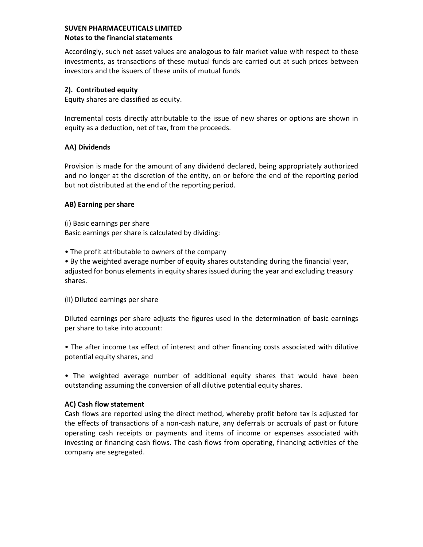Accordingly, such net asset values are analogous to fair market value with respect to these investments, as transactions of these mutual funds are carried out at such prices between investors and the issuers of these units of mutual funds

# **Z). Contributed equity**

Equity shares are classified as equity.

Incremental costs directly attributable to the issue of new shares or options are shown in equity as a deduction, net of tax, from the proceeds.

# **AA) Dividends**

Provision is made for the amount of any dividend declared, being appropriately authorized and no longer at the discretion of the entity, on or before the end of the reporting period but not distributed at the end of the reporting period.

# **AB) Earning per share**

(i) Basic earnings per share Basic earnings per share is calculated by dividing:

• The profit attributable to owners of the company

• By the weighted average number of equity shares outstanding during the financial year, adjusted for bonus elements in equity shares issued during the year and excluding treasury shares.

(ii) Diluted earnings per share

Diluted earnings per share adjusts the figures used in the determination of basic earnings per share to take into account:

• The after income tax effect of interest and other financing costs associated with dilutive potential equity shares, and

• The weighted average number of additional equity shares that would have been outstanding assuming the conversion of all dilutive potential equity shares.

# **AC) Cash flow statement**

Cash flows are reported using the direct method, whereby profit before tax is adjusted for the effects of transactions of a non-cash nature, any deferrals or accruals of past or future operating cash receipts or payments and items of income or expenses associated with investing or financing cash flows. The cash flows from operating, financing activities of the company are segregated.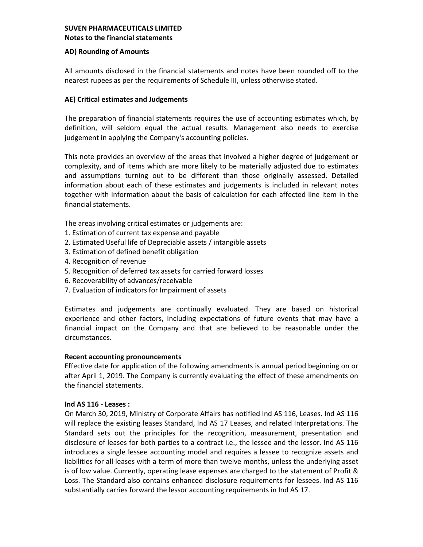## **AD) Rounding of Amounts**

All amounts disclosed in the financial statements and notes have been rounded off to the nearest rupees as per the requirements of Schedule III, unless otherwise stated.

## **AE) Critical estimates and Judgements**

The preparation of financial statements requires the use of accounting estimates which, by definition, will seldom equal the actual results. Management also needs to exercise judgement in applying the Company's accounting policies.

This note provides an overview of the areas that involved a higher degree of judgement or complexity, and of items which are more likely to be materially adjusted due to estimates and assumptions turning out to be different than those originally assessed. Detailed information about each of these estimates and judgements is included in relevant notes together with information about the basis of calculation for each affected line item in the financial statements.

The areas involving critical estimates or judgements are:

- 1. Estimation of current tax expense and payable
- 2. Estimated Useful life of Depreciable assets / intangible assets
- 3. Estimation of defined benefit obligation
- 4. Recognition of revenue
- 5. Recognition of deferred tax assets for carried forward losses
- 6. Recoverability of advances/receivable
- 7. Evaluation of indicators for Impairment of assets

Estimates and judgements are continually evaluated. They are based on historical experience and other factors, including expectations of future events that may have a financial impact on the Company and that are believed to be reasonable under the circumstances.

## **Recent accounting pronouncements**

Effective date for application of the following amendments is annual period beginning on or after April 1, 2019. The Company is currently evaluating the effect of these amendments on the financial statements.

## **Ind AS 116 - Leases :**

On March 30, 2019, Ministry of Corporate Affairs has notified Ind AS 116, Leases. Ind AS 116 will replace the existing leases Standard, Ind AS 17 Leases, and related Interpretations. The Standard sets out the principles for the recognition, measurement, presentation and disclosure of leases for both parties to a contract i.e., the lessee and the lessor. Ind AS 116 introduces a single lessee accounting model and requires a lessee to recognize assets and liabilities for all leases with a term of more than twelve months, unless the underlying asset is of low value. Currently, operating lease expenses are charged to the statement of Profit & Loss. The Standard also contains enhanced disclosure requirements for lessees. Ind AS 116 substantially carries forward the lessor accounting requirements in Ind AS 17.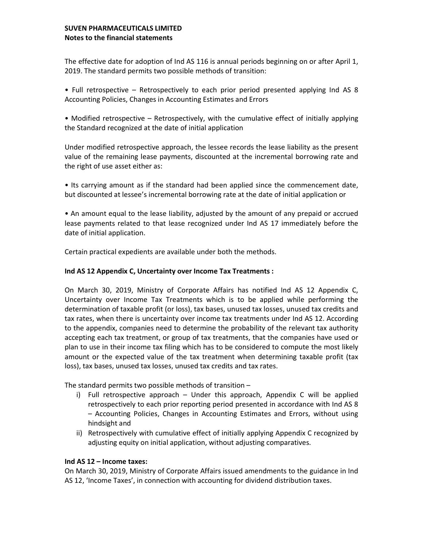The effective date for adoption of Ind AS 116 is annual periods beginning on or after April 1, 2019. The standard permits two possible methods of transition:

• Full retrospective – Retrospectively to each prior period presented applying Ind AS 8 Accounting Policies, Changes in Accounting Estimates and Errors

• Modified retrospective – Retrospectively, with the cumulative effect of initially applying the Standard recognized at the date of initial application

Under modified retrospective approach, the lessee records the lease liability as the present value of the remaining lease payments, discounted at the incremental borrowing rate and the right of use asset either as:

• Its carrying amount as if the standard had been applied since the commencement date, but discounted at lessee's incremental borrowing rate at the date of initial application or

• An amount equal to the lease liability, adjusted by the amount of any prepaid or accrued lease payments related to that lease recognized under Ind AS 17 immediately before the date of initial application.

Certain practical expedients are available under both the methods.

## **Ind AS 12 Appendix C, Uncertainty over Income Tax Treatments :**

On March 30, 2019, Ministry of Corporate Affairs has notified Ind AS 12 Appendix C, Uncertainty over Income Tax Treatments which is to be applied while performing the determination of taxable profit (or loss), tax bases, unused tax losses, unused tax credits and tax rates, when there is uncertainty over income tax treatments under Ind AS 12. According to the appendix, companies need to determine the probability of the relevant tax authority accepting each tax treatment, or group of tax treatments, that the companies have used or plan to use in their income tax filing which has to be considered to compute the most likely amount or the expected value of the tax treatment when determining taxable profit (tax loss), tax bases, unused tax losses, unused tax credits and tax rates.

The standard permits two possible methods of transition –

- i) Full retrospective approach Under this approach, Appendix C will be applied retrospectively to each prior reporting period presented in accordance with Ind AS 8 – Accounting Policies, Changes in Accounting Estimates and Errors, without using hindsight and
- ii) Retrospectively with cumulative effect of initially applying Appendix C recognized by adjusting equity on initial application, without adjusting comparatives.

## **Ind AS 12 – Income taxes:**

On March 30, 2019, Ministry of Corporate Affairs issued amendments to the guidance in Ind AS 12, 'Income Taxes', in connection with accounting for dividend distribution taxes.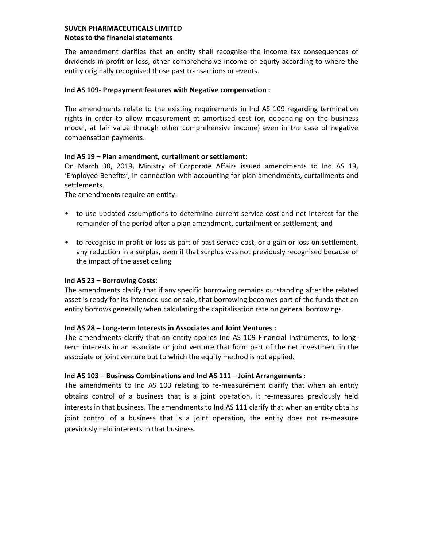The amendment clarifies that an entity shall recognise the income tax consequences of dividends in profit or loss, other comprehensive income or equity according to where the entity originally recognised those past transactions or events.

## **Ind AS 109- Prepayment features with Negative compensation :**

The amendments relate to the existing requirements in Ind AS 109 regarding termination rights in order to allow measurement at amortised cost (or, depending on the business model, at fair value through other comprehensive income) even in the case of negative compensation payments.

## **Ind AS 19 – Plan amendment, curtailment or settlement:**

On March 30, 2019, Ministry of Corporate Affairs issued amendments to Ind AS 19, 'Employee Benefits', in connection with accounting for plan amendments, curtailments and settlements.

The amendments require an entity:

- to use updated assumptions to determine current service cost and net interest for the remainder of the period after a plan amendment, curtailment or settlement; and
- to recognise in profit or loss as part of past service cost, or a gain or loss on settlement, any reduction in a surplus, even if that surplus was not previously recognised because of the impact of the asset ceiling

# **Ind AS 23 – Borrowing Costs:**

The amendments clarify that if any specific borrowing remains outstanding after the related asset is ready for its intended use or sale, that borrowing becomes part of the funds that an entity borrows generally when calculating the capitalisation rate on general borrowings.

## **Ind AS 28 – Long-term Interests in Associates and Joint Ventures :**

The amendments clarify that an entity applies Ind AS 109 Financial Instruments, to longterm interests in an associate or joint venture that form part of the net investment in the associate or joint venture but to which the equity method is not applied.

# **Ind AS 103 – Business Combinations and Ind AS 111 – Joint Arrangements :**

The amendments to Ind AS 103 relating to re-measurement clarify that when an entity obtains control of a business that is a joint operation, it re-measures previously held interests in that business. The amendments to Ind AS 111 clarify that when an entity obtains joint control of a business that is a joint operation, the entity does not re-measure previously held interests in that business.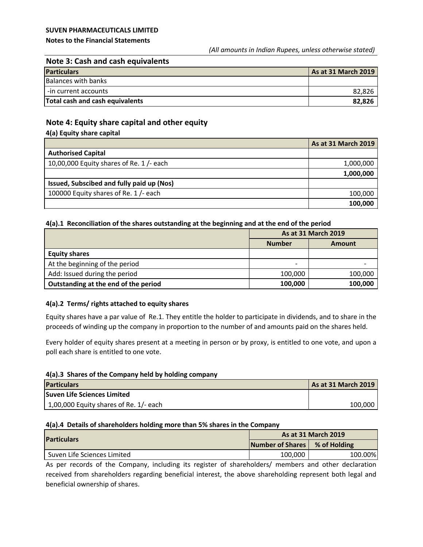## **SUVEN PHARMACEUTICALS LIMITED**

#### **Notes to the Financial Statements**

# **Note 3: Cash and cash equivalents**

| <b>Particulars</b>              | As at 31 March 2019 |
|---------------------------------|---------------------|
| <b>Balances with banks</b>      |                     |
| I -in current accounts          | 82,826              |
| Total cash and cash equivalents | 82,826              |

## **Note 4: Equity share capital and other equity**

|  | 4(a) Equity share capital |
|--|---------------------------|
|--|---------------------------|

|                                           | <b>As at 31 March 2019</b> |
|-------------------------------------------|----------------------------|
| <b>Authorised Capital</b>                 |                            |
| 10,00,000 Equity shares of Re. $1/-$ each | 1,000,000                  |
|                                           | 1,000,000                  |
| Issued, Subscibed and fully paid up (Nos) |                            |
| 100000 Equity shares of Re. 1 /- each     | 100,000                    |
|                                           | 100,000                    |

#### **4(a).1 Reconciliation of the shares outstanding at the beginning and at the end of the period**

|                                      | <b>As at 31 March 2019</b><br><b>Number</b><br><b>Amount</b> |         |
|--------------------------------------|--------------------------------------------------------------|---------|
|                                      |                                                              |         |
| <b>Equity shares</b>                 |                                                              |         |
| At the beginning of the period       | -                                                            |         |
| Add: Issued during the period        | 100,000                                                      | 100,000 |
| Outstanding at the end of the period | 100,000                                                      | 100,000 |

## **4(a).2 Terms/ rights attached to equity shares**

Equity shares have a par value of Re.1. They entitle the holder to participate in dividends, and to share in the proceeds of winding up the company in proportion to the number of and amounts paid on the shares held.

Every holder of equity shares present at a meeting in person or by proxy, is entitled to one vote, and upon a poll each share is entitled to one vote.

#### **4(a).3 Shares of the Company held by holding company**

| <b>Particulars</b>                     | <b>As at 31 March 2019</b> |
|----------------------------------------|----------------------------|
| <b>Suven Life Sciences Limited</b>     |                            |
| 1,00,000 Equity shares of Re. 1/- each | 100.000                    |

#### **4(a).4 Details of shareholders holding more than 5% shares in the Company**

| <b>Particulars</b>          | <b>As at 31 March 2019</b> |              |  |  |
|-----------------------------|----------------------------|--------------|--|--|
|                             | <b>Number of Shares</b>    | % of Holding |  |  |
| Suven Life Sciences Limited | 100,000                    | 100.00%      |  |  |

As per records of the Company, including its register of shareholders/ members and other declaration received from shareholders regarding beneficial interest, the above shareholding represent both legal and beneficial ownership of shares.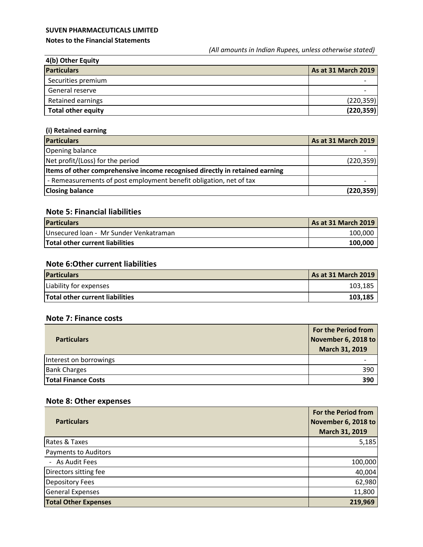## **SUVEN PHARMACEUTICALS LIMITED**

#### **Notes to the Financial Statements**

*(All amounts in Indian Rupees, unless otherwise stated)*

| 4(b) Other Equity         |                            |
|---------------------------|----------------------------|
| <b>Particulars</b>        | <b>As at 31 March 2019</b> |
| Securities premium        |                            |
| General reserve           |                            |
| Retained earnings         | (220, 359)                 |
| <b>Total other equity</b> | (220, 359)                 |

# **(i) Retained earning**

| <b>Particulars</b>                                                          | As at 31 March 2019 |
|-----------------------------------------------------------------------------|---------------------|
| Opening balance                                                             |                     |
| Net profit/(Loss) for the period                                            | (220, 359)          |
| Items of other comprehensive income recognised directly in retained earning |                     |
| - Remeasurements of post employment benefit obligation, net of tax          |                     |
| <b>Closing balance</b>                                                      | (220, 359)          |

# **Note 5: Financial liabilities**

| <b>Particulars</b>                     | As at 31 March 2019 |
|----------------------------------------|---------------------|
| Unsecured Ioan - Mr Sunder Venkatraman | 100.000             |
| <b>Total other current liabilities</b> | 100.000             |

# **Note 6:Other current liabilities**

| <b>Particulars</b>              | <b>As at 31 March 2019</b> |
|---------------------------------|----------------------------|
| Liability for expenses          | 103,185                    |
| Total other current liabilities | 103.185                    |

# **Note 7: Finance costs**

| <b>Particulars</b>         | <b>For the Period from</b><br>November 6, 2018 to<br>March 31, 2019 |
|----------------------------|---------------------------------------------------------------------|
| Interest on borrowings     |                                                                     |
| <b>Bank Charges</b>        | 390                                                                 |
| <b>Total Finance Costs</b> | 390                                                                 |

# **Note 8: Other expenses**

| <b>Particulars</b>          | For the Period from<br>November 6, 2018 to<br>March 31, 2019 |
|-----------------------------|--------------------------------------------------------------|
| Rates & Taxes               | 5,185                                                        |
| <b>Payments to Auditors</b> |                                                              |
| - As Audit Fees             | 100,000                                                      |
| Directors sitting fee       | 40,004                                                       |
| <b>Depository Fees</b>      | 62,980                                                       |
| <b>General Expenses</b>     | 11,800                                                       |
| <b>Total Other Expenses</b> | 219,969                                                      |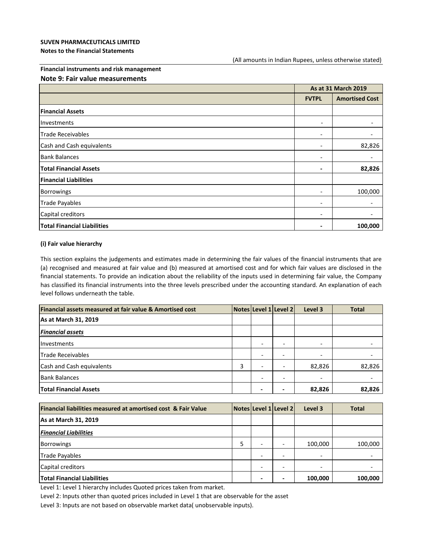#### **Notes to the Financial Statements**

#### **Financial instruments and risk management**

#### **Note 9: Fair value measurements**

|                                    | As at 31 March 2019          |                              |
|------------------------------------|------------------------------|------------------------------|
|                                    | <b>FVTPL</b>                 | <b>Amortised Cost</b>        |
| <b>Financial Assets</b>            |                              |                              |
| Investments                        | $\overline{\phantom{a}}$     | $\qquad \qquad \blacksquare$ |
| Trade Receivables                  | $\overline{\phantom{a}}$     |                              |
| Cash and Cash equivalents          | $\overline{\phantom{a}}$     | 82,826                       |
| <b>Bank Balances</b>               | $\overline{\phantom{0}}$     |                              |
| <b>Total Financial Assets</b>      | $\blacksquare$               | 82,826                       |
| <b>Financial Liabilities</b>       |                              |                              |
| Borrowings                         | $\overline{\phantom{a}}$     | 100,000                      |
| Trade Payables                     | $\overline{\phantom{a}}$     | $\overline{\phantom{a}}$     |
| Capital creditors                  | $\overline{\phantom{a}}$     | $\overline{\phantom{a}}$     |
| <b>Total Financial Liabilities</b> | $\qquad \qquad \blacksquare$ | 100,000                      |

#### **(i) Fair value hierarchy**

This section explains the judgements and estimates made in determining the fair values of the financial instruments that are (a) recognised and measured at fair value and (b) measured at amortised cost and for which fair values are disclosed in the financial statements. To provide an indication about the reliability of the inputs used in determining fair value, the Company has classified its financial instruments into the three levels prescribed under the accounting standard. An explanation of each level follows underneath the table.

| Financial assets measured at fair value & Amortised cost |   |                          | Notes Level 1 Level 2 | Level 3                  | <b>Total</b> |
|----------------------------------------------------------|---|--------------------------|-----------------------|--------------------------|--------------|
| As at March 31, 2019                                     |   |                          |                       |                          |              |
| <b>Financial assets</b>                                  |   |                          |                       |                          |              |
| <b>Investments</b>                                       |   | $\overline{\phantom{0}}$ |                       | $\overline{\phantom{0}}$ |              |
| Trade Receivables                                        |   |                          |                       | $\overline{\phantom{0}}$ |              |
| Cash and Cash equivalents                                | 3 | $\overline{\phantom{0}}$ |                       | 82,826                   | 82,826       |
| <b>Bank Balances</b>                                     |   |                          | $\overline{ }$        | $\overline{\phantom{0}}$ |              |
| <b>Total Financial Assets</b>                            |   |                          |                       | 82,826                   | 82,826       |

| Financial liabilities measured at amortised cost & Fair Value |                              | Notes Level 1 Level 2 | Level 3                  | <b>Total</b> |
|---------------------------------------------------------------|------------------------------|-----------------------|--------------------------|--------------|
| As at March 31, 2019                                          |                              |                       |                          |              |
| <b>Financial Liabilities</b>                                  |                              |                       |                          |              |
| <b>Borrowings</b>                                             | $\overline{\phantom{a}}$     |                       | 100,000                  | 100,000      |
| Trade Payables                                                | $\qquad \qquad \blacksquare$ |                       | $\overline{\phantom{a}}$ |              |
| Capital creditors                                             | $\overline{\phantom{0}}$     |                       | $\overline{\phantom{0}}$ |              |
| <b>Total Financial Liabilities</b>                            |                              |                       | 100,000                  | 100,000      |

Level 1: Level 1 hierarchy includes Quoted prices taken from market.

Level 2: Inputs other than quoted prices included in Level 1 that are observable for the asset

Level 3: Inputs are not based on observable market data( unobservable inputs).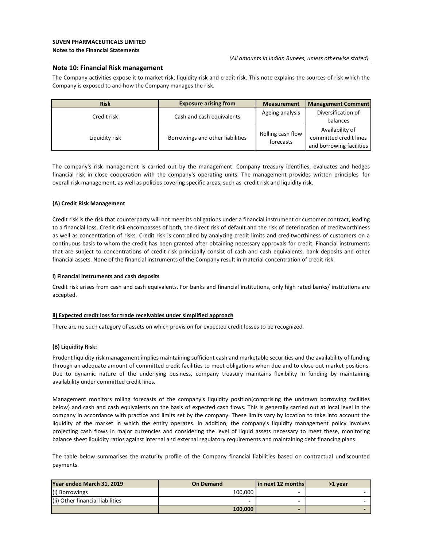#### **Note 10: Financial Risk management**

The Company activities expose it to market risk, liquidity risk and credit risk. This note explains the sources of risk which the Company is exposed to and how the Company manages the risk.

| <b>Risk</b>    | <b>Exposure arising from</b>     | <b>Measurement</b>             | <b>Management Comment</b>                                             |
|----------------|----------------------------------|--------------------------------|-----------------------------------------------------------------------|
| Credit risk    | Cash and cash equivalents        | Ageing analysis                | Diversification of<br>balances                                        |
| Liquidity risk | Borrowings and other liabilities | Rolling cash flow<br>forecasts | Availability of<br>committed credit lines<br>and borrowing facilities |

The company's risk management is carried out by the management. Company treasury identifies, evaluates and hedges financial risk in close cooperation with the company's operating units. The management provides written principles for overall risk management, as well as policies covering specific areas, such as credit risk and liquidity risk.

#### **(A) Credit Risk Management**

Credit risk is the risk that counterparty will not meet its obligations under a financial instrument or customer contract, leading to a financial loss. Credit risk encompasses of both, the direct risk of default and the risk of deterioration of creditworthiness as well as concentration of risks. Credit risk is controlled by analyzing credit limits and creditworthiness of customers on a continuous basis to whom the credit has been granted after obtaining necessary approvals for credit. Financial instruments that are subject to concentrations of credit risk principally consist of cash and cash equivalents, bank deposits and other financial assets. None of the financial instruments of the Company result in material concentration of credit risk.

#### **i) Financial instruments and cash deposits**

Credit risk arises from cash and cash equivalents. For banks and financial institutions, only high rated banks/ institutions are accepted.

#### **ii) Expected credit loss for trade receivables under simplified approach**

There are no such category of assets on which provision for expected credit losses to be recognized.

#### **(B) Liquidity Risk:**

Prudent liquidity risk management implies maintaining sufficient cash and marketable securities and the availability of funding through an adequate amount of committed credit facilities to meet obligations when due and to close out market positions. Due to dynamic nature of the underlying business, company treasury maintains flexibility in funding by maintaining availability under committed credit lines.

Management monitors rolling forecasts of the company's liquidity position(comprising the undrawn borrowing facilities below) and cash and cash equivalents on the basis of expected cash flows. This is generally carried out at local level in the company in accordance with practice and limits set by the company. These limits vary by location to take into account the liquidity of the market in which the entity operates. In addition, the company's liquidity management policy involves projecting cash flows in major currencies and considering the level of liquid assets necessary to meet these, monitoring balance sheet liquidity ratios against internal and external regulatory requirements and maintaining debt financing plans.

The table below summarises the maturity profile of the Company financial liabilities based on contractual undiscounted payments.

| Year ended March 31, 2019        | <b>On Demand</b> | l in next 12 months l | >1 year |
|----------------------------------|------------------|-----------------------|---------|
| (i) Borrowings                   | 100.000          |                       |         |
| (ii) Other financial liabilities |                  |                       |         |
|                                  | 100,000          |                       |         |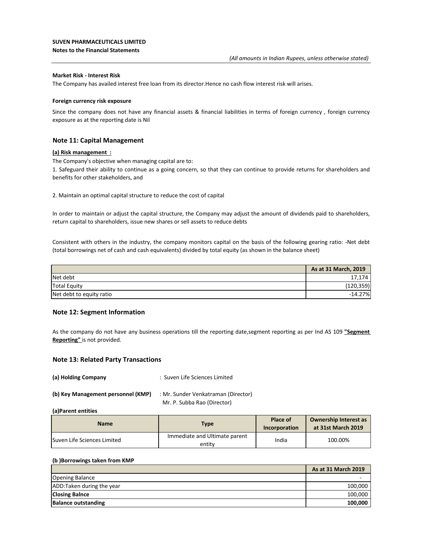#### **SUVEN PHARMACEUTICALS LIMITED**

**Notes to the Financial Statements** 

#### **Market Risk - Interest Risk**

The Company has availed interest free loan from its director.Hence no cash flow interest risk will arises.

#### **Foreign currency risk exposure**

Since the company does not have any financial assets & financial liabilities in terms of foreign currency , foreign currency exposure as at the reporting date is Nil

#### **Note 11: Capital Management**

#### **(a) Risk management :**

The Company's objective when managing capital are to:

1. Safeguard their ability to continue as a going concern, so that they can continue to provide returns for shareholders and benefits for other stakeholders, and

2. Maintain an optimal capital structure to reduce the cost of capital

In order to maintain or adjust the capital structure, the Company may adjust the amount of dividends paid to shareholders, return capital to shareholders, issue new shares or sell assets to reduce debts

Consistent with others in the industry, the company monitors capital on the basis of the following gearing ratio: -Net debt (total borrowings net of cash and cash equivalents) divided by total equity (as shown in the balance sheet)

|                          | As at 31 March, 2019 |
|--------------------------|----------------------|
| Net debt                 | 17,174               |
| <b>Total Equity</b>      | (120, 359)           |
| Net debt to equity ratio | $-14.27%$            |

#### **Note 12: Segment Information**

As the company do not have any business operations till the reporting date,segment reporting as per Ind AS 109 **"Segment Reporting"** is not provided.

#### **Note 13: Related Party Transactions**

**(a) Holding Company** : Suven Life Sciences Limited

| (b) Key Management personnel (KMP) | : Mr. Sunder Venkatraman (Director) |
|------------------------------------|-------------------------------------|
|                                    | Mr. P. Subba Rao (Director)         |

**(a)Parent entities**

| <b>Name</b>                  | Type                                    | <b>Place of</b><br><b>Incorporation</b> | <b>Ownership Interest as</b><br>at 31st March 2019 |
|------------------------------|-----------------------------------------|-----------------------------------------|----------------------------------------------------|
| lSuven Life Sciences Limited | Immediate and Ultimate parent<br>entity | India                                   | 100.00%                                            |

#### **(b )Borrowings taken from KMP**

|                            | <b>As at 31 March 2019</b> |
|----------------------------|----------------------------|
| <b>Opening Balance</b>     |                            |
| ADD: Taken during the year | 100.000                    |
| <b>Closing Balnce</b>      | 100.000                    |
| <b>Balance outstanding</b> | 100,000                    |